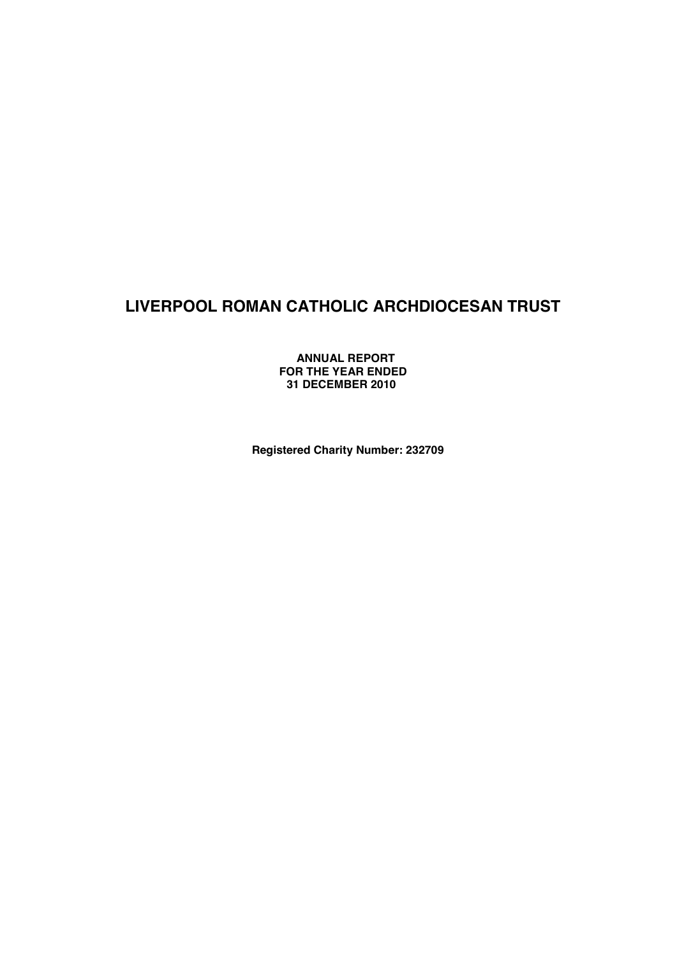**ANNUAL REPORT FOR THE YEAR ENDED 31 DECEMBER 2010**

**Registered Charity Number: 232709**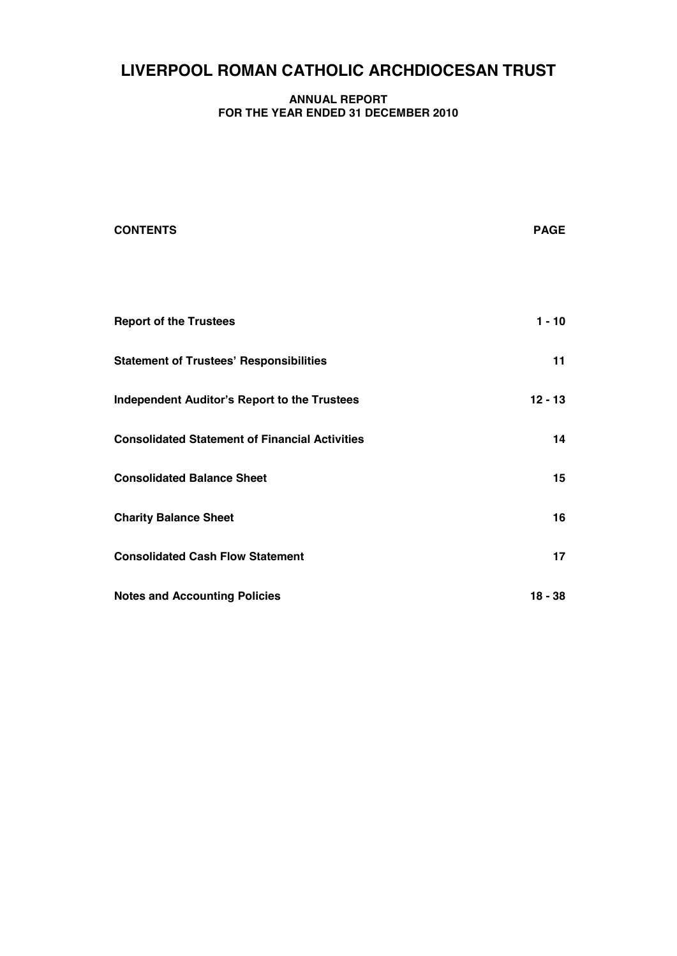#### **ANNUAL REPORT FOR THE YEAR ENDED 31 DECEMBER 2010**

| <b>CONTENTS</b>                                       | <b>PAGE</b> |
|-------------------------------------------------------|-------------|
|                                                       |             |
| <b>Report of the Trustees</b>                         | $1 - 10$    |
| <b>Statement of Trustees' Responsibilities</b>        | 11          |
| <b>Independent Auditor's Report to the Trustees</b>   | $12 - 13$   |
| <b>Consolidated Statement of Financial Activities</b> | 14          |
| <b>Consolidated Balance Sheet</b>                     | 15          |
| <b>Charity Balance Sheet</b>                          | 16          |
| <b>Consolidated Cash Flow Statement</b>               | 17          |
| <b>Notes and Accounting Policies</b>                  | $18 - 38$   |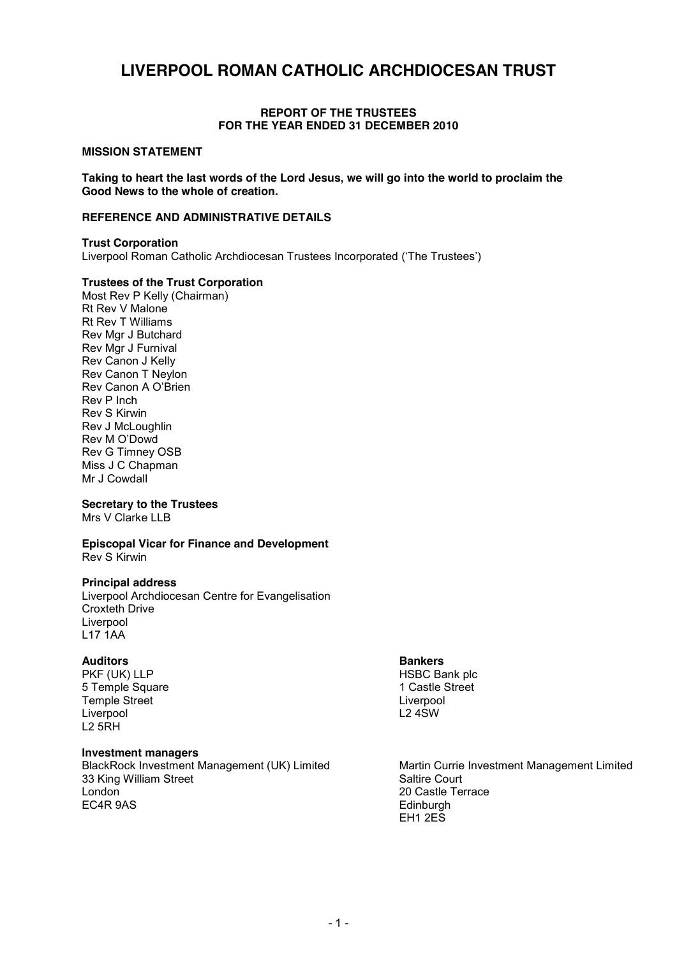#### **REPORT OF THE TRUSTEES FOR THE YEAR ENDED 31 DECEMBER 2010**

#### **MISSION STATEMENT**

**Taking to heart the last words of the Lord Jesus, we will go into the world to proclaim the Good News to the whole of creation.**

#### **REFERENCE AND ADMINISTRATIVE DETAILS**

**Trust Corporation** Liverpool Roman Catholic Archdiocesan Trustees Incorporated ('The Trustees')

#### **Trustees of the Trust Corporation**

Most Rev P Kelly (Chairman) Rt Rev V Malone Rt Rev T Williams Rev Mgr J Butchard Rev Mgr J Furnival Rev Canon J Kelly Rev Canon T Neylon Rev Canon A O'Brien Rev P Inch Rev S Kirwin Rev J McLoughlin Rev M O'Dowd Rev G Timney OSB Miss J C Chapman Mr J Cowdall

#### **Secretary to the Trustees**

Mrs V Clarke LLB

#### **Episcopal Vicar for Finance and Development** Rev S Kirwin

#### **Principal address**

Liverpool Archdiocesan Centre for Evangelisation Croxteth Drive Liverpool L17 1AA

#### **Auditors Bankers**

PKF (UK) LLP HSBC Bank plc 5 Temple Square 1 Castle Street Temple Street Liverpool Liverpool L2 5RH

#### **Investment managers**

33 King William Street Saltire Court<br>
1 ondon 20 Castle Te London 20 Castle Terrace

BlackRock Investment Management (UK) Limited Martin Currie Investment Management Limited Edinburgh EH1 2ES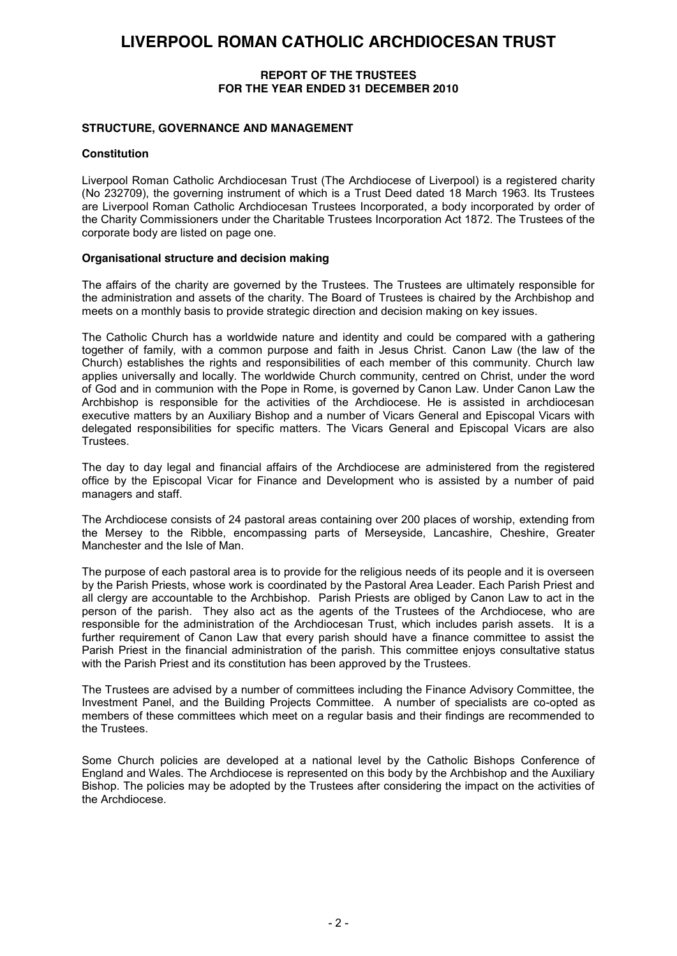#### **REPORT OF THE TRUSTEES FOR THE YEAR ENDED 31 DECEMBER 2010**

#### **STRUCTURE, GOVERNANCE AND MANAGEMENT**

#### **Constitution**

Liverpool Roman Catholic Archdiocesan Trust (The Archdiocese of Liverpool) is a registered charity (No 232709), the governing instrument of which is a Trust Deed dated 18 March 1963. Its Trustees are Liverpool Roman Catholic Archdiocesan Trustees Incorporated, a body incorporated by order of the Charity Commissioners under the Charitable Trustees Incorporation Act 1872. The Trustees of the corporate body are listed on page one.

#### **Organisational structure and decision making**

The affairs of the charity are governed by the Trustees. The Trustees are ultimately responsible for the administration and assets of the charity. The Board of Trustees is chaired by the Archbishop and meets on a monthly basis to provide strategic direction and decision making on key issues.

The Catholic Church has a worldwide nature and identity and could be compared with a gathering together of family, with a common purpose and faith in Jesus Christ. Canon Law (the law of the Church) establishes the rights and responsibilities of each member of this community. Church law applies universally and locally. The worldwide Church community, centred on Christ, under the word of God and in communion with the Pope in Rome, is governed by Canon Law. Under Canon Law the Archbishop is responsible for the activities of the Archdiocese. He is assisted in archdiocesan executive matters by an Auxiliary Bishop and a number of Vicars General and Episcopal Vicars with delegated responsibilities for specific matters. The Vicars General and Episcopal Vicars are also Trustees.

The day to day legal and financial affairs of the Archdiocese are administered from the registered office by the Episcopal Vicar for Finance and Development who is assisted by a number of paid managers and staff.

The Archdiocese consists of 24 pastoral areas containing over 200 places of worship, extending from the Mersey to the Ribble, encompassing parts of Merseyside, Lancashire, Cheshire, Greater Manchester and the Isle of Man.

The purpose of each pastoral area is to provide for the religious needs of its people and it is overseen by the Parish Priests, whose work is coordinated by the Pastoral Area Leader. Each Parish Priest and all clergy are accountable to the Archbishop. Parish Priests are obliged by Canon Law to act in the person of the parish. They also act as the agents of the Trustees of the Archdiocese, who are responsible for the administration of the Archdiocesan Trust, which includes parish assets. It is a further requirement of Canon Law that every parish should have a finance committee to assist the Parish Priest in the financial administration of the parish. This committee enjoys consultative status with the Parish Priest and its constitution has been approved by the Trustees.

The Trustees are advised by a number of committees including the Finance Advisory Committee, the Investment Panel, and the Building Projects Committee. A number of specialists are co-opted as members of these committees which meet on a regular basis and their findings are recommended to the Trustees.

Some Church policies are developed at a national level by the Catholic Bishops Conference of England and Wales. The Archdiocese is represented on this body by the Archbishop and the Auxiliary Bishop. The policies may be adopted by the Trustees after considering the impact on the activities of the Archdiocese.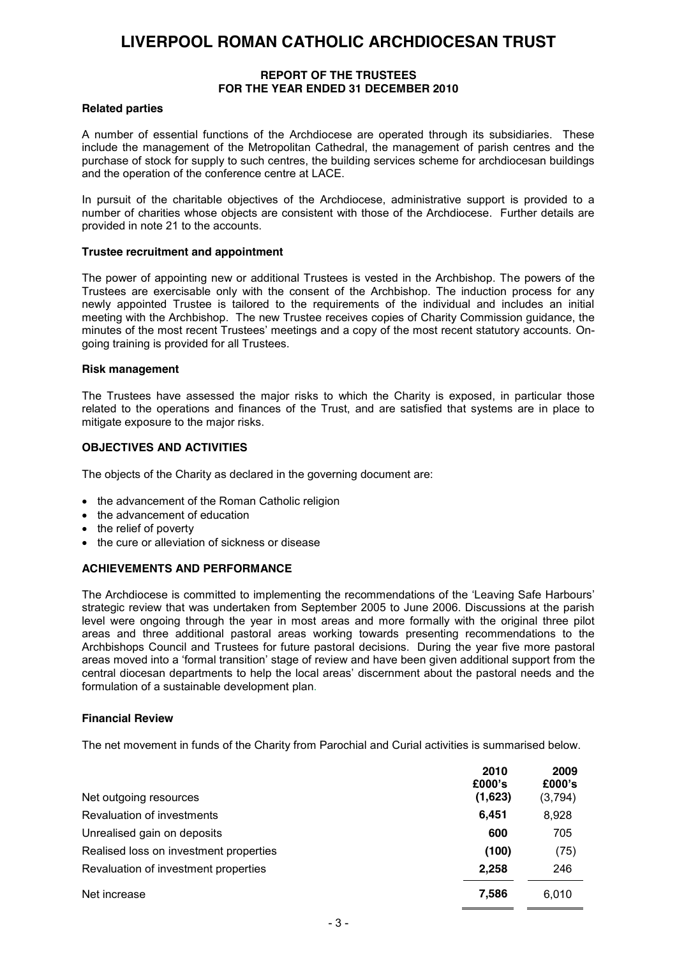#### **REPORT OF THE TRUSTEES FOR THE YEAR ENDED 31 DECEMBER 2010**

#### **Related parties**

A number of essential functions of the Archdiocese are operated through its subsidiaries. These include the management of the Metropolitan Cathedral, the management of parish centres and the purchase of stock for supply to such centres, the building services scheme for archdiocesan buildings and the operation of the conference centre at LACE.

In pursuit of the charitable objectives of the Archdiocese, administrative support is provided to a number of charities whose objects are consistent with those of the Archdiocese. Further details are provided in note 21 to the accounts.

#### **Trustee recruitment and appointment**

The power of appointing new or additional Trustees is vested in the Archbishop. The powers of the Trustees are exercisable only with the consent of the Archbishop. The induction process for any newly appointed Trustee is tailored to the requirements of the individual and includes an initial meeting with the Archbishop. The new Trustee receives copies of Charity Commission guidance, the minutes of the most recent Trustees' meetings and a copy of the most recent statutory accounts. Ongoing training is provided for all Trustees.

#### **Risk management**

The Trustees have assessed the major risks to which the Charity is exposed, in particular those related to the operations and finances of the Trust, and are satisfied that systems are in place to mitigate exposure to the major risks.

#### **OBJECTIVES AND ACTIVITIES**

The objects of the Charity as declared in the governing document are:

- the advancement of the Roman Catholic religion
- the advancement of education
- the relief of poverty
- the cure or alleviation of sickness or disease

#### **ACHIEVEMENTS AND PERFORMANCE**

The Archdiocese is committed to implementing the recommendations of the 'Leaving Safe Harbours' strategic review that was undertaken from September 2005 to June 2006. Discussions at the parish level were ongoing through the year in most areas and more formally with the original three pilot areas and three additional pastoral areas working towards presenting recommendations to the Archbishops Council and Trustees for future pastoral decisions. During the year five more pastoral areas moved into a 'formal transition' stage of review and have been given additional support from the central diocesan departments to help the local areas' discernment about the pastoral needs and the formulation of a sustainable development plan.

#### **Financial Review**

The net movement in funds of the Charity from Parochial and Curial activities is summarised below.

| Net outgoing resources                 | 2010<br>£000's<br>(1,623) | 2009<br>£000's<br>(3,794) |
|----------------------------------------|---------------------------|---------------------------|
| Revaluation of investments             | 6,451                     | 8,928                     |
| Unrealised gain on deposits            | 600                       | 705                       |
| Realised loss on investment properties | (100)                     | (75)                      |
| Revaluation of investment properties   | 2.258                     | 246                       |
| Net increase                           | 7,586                     | 6.010                     |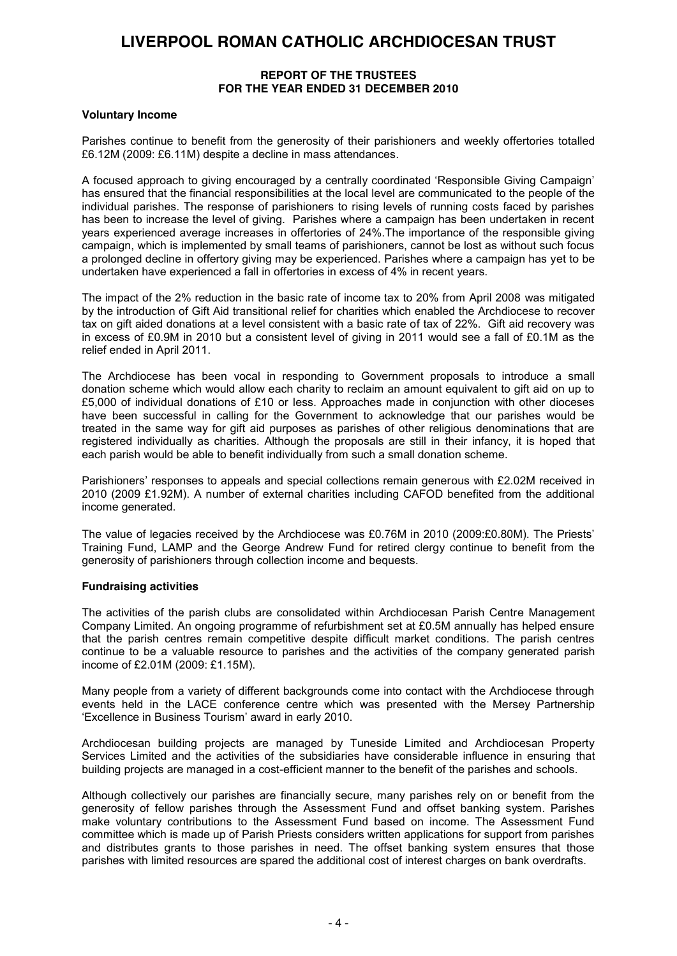#### **REPORT OF THE TRUSTEES FOR THE YEAR ENDED 31 DECEMBER 2010**

#### **Voluntary Income**

Parishes continue to benefit from the generosity of their parishioners and weekly offertories totalled £6.12M (2009: £6.11M) despite a decline in mass attendances.

A focused approach to giving encouraged by a centrally coordinated 'Responsible Giving Campaign' has ensured that the financial responsibilities at the local level are communicated to the people of the individual parishes. The response of parishioners to rising levels of running costs faced by parishes has been to increase the level of giving. Parishes where a campaign has been undertaken in recent years experienced average increases in offertories of 24%.The importance of the responsible giving campaign, which is implemented by small teams of parishioners, cannot be lost as without such focus a prolonged decline in offertory giving may be experienced. Parishes where a campaign has yet to be undertaken have experienced a fall in offertories in excess of 4% in recent years.

The impact of the 2% reduction in the basic rate of income tax to 20% from April 2008 was mitigated by the introduction of Gift Aid transitional relief for charities which enabled the Archdiocese to recover tax on gift aided donations at a level consistent with a basic rate of tax of 22%. Gift aid recovery was in excess of £0.9M in 2010 but a consistent level of giving in 2011 would see a fall of £0.1M as the relief ended in April 2011.

The Archdiocese has been vocal in responding to Government proposals to introduce a small donation scheme which would allow each charity to reclaim an amount equivalent to gift aid on up to £5,000 of individual donations of £10 or less. Approaches made in conjunction with other dioceses have been successful in calling for the Government to acknowledge that our parishes would be treated in the same way for gift aid purposes as parishes of other religious denominations that are registered individually as charities. Although the proposals are still in their infancy, it is hoped that each parish would be able to benefit individually from such a small donation scheme.

Parishioners' responses to appeals and special collections remain generous with £2.02M received in 2010 (2009 £1.92M). A number of external charities including CAFOD benefited from the additional income generated.

The value of legacies received by the Archdiocese was £0.76M in 2010 (2009:£0.80M). The Priests' Training Fund, LAMP and the George Andrew Fund for retired clergy continue to benefit from the generosity of parishioners through collection income and bequests.

#### **Fundraising activities**

The activities of the parish clubs are consolidated within Archdiocesan Parish Centre Management Company Limited. An ongoing programme of refurbishment set at £0.5M annually has helped ensure that the parish centres remain competitive despite difficult market conditions. The parish centres continue to be a valuable resource to parishes and the activities of the company generated parish income of £2.01M (2009: £1.15M).

Many people from a variety of different backgrounds come into contact with the Archdiocese through events held in the LACE conference centre which was presented with the Mersey Partnership 'Excellence in Business Tourism' award in early 2010.

Archdiocesan building projects are managed by Tuneside Limited and Archdiocesan Property Services Limited and the activities of the subsidiaries have considerable influence in ensuring that building projects are managed in a cost-efficient manner to the benefit of the parishes and schools.

Although collectively our parishes are financially secure, many parishes rely on or benefit from the generosity of fellow parishes through the Assessment Fund and offset banking system. Parishes make voluntary contributions to the Assessment Fund based on income. The Assessment Fund committee which is made up of Parish Priests considers written applications for support from parishes and distributes grants to those parishes in need. The offset banking system ensures that those parishes with limited resources are spared the additional cost of interest charges on bank overdrafts.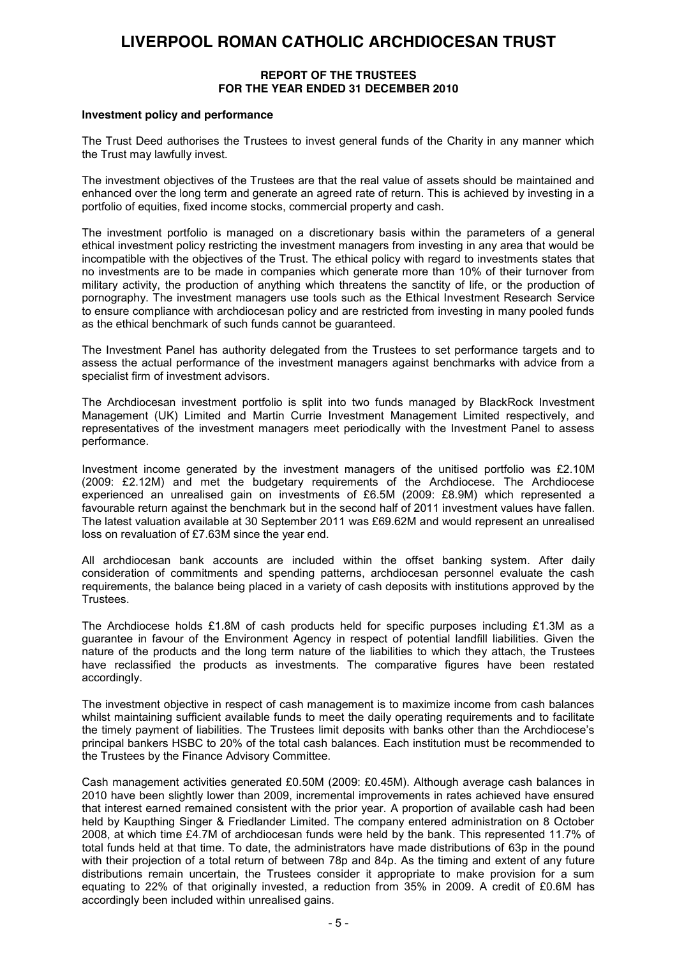#### **REPORT OF THE TRUSTEES FOR THE YEAR ENDED 31 DECEMBER 2010**

#### **Investment policy and performance**

The Trust Deed authorises the Trustees to invest general funds of the Charity in any manner which the Trust may lawfully invest.

The investment objectives of the Trustees are that the real value of assets should be maintained and enhanced over the long term and generate an agreed rate of return. This is achieved by investing in a portfolio of equities, fixed income stocks, commercial property and cash.

The investment portfolio is managed on a discretionary basis within the parameters of a general ethical investment policy restricting the investment managers from investing in any area that would be incompatible with the objectives of the Trust. The ethical policy with regard to investments states that no investments are to be made in companies which generate more than 10% of their turnover from military activity, the production of anything which threatens the sanctity of life, or the production of pornography. The investment managers use tools such as the Ethical Investment Research Service to ensure compliance with archdiocesan policy and are restricted from investing in many pooled funds as the ethical benchmark of such funds cannot be guaranteed.

The Investment Panel has authority delegated from the Trustees to set performance targets and to assess the actual performance of the investment managers against benchmarks with advice from a specialist firm of investment advisors.

The Archdiocesan investment portfolio is split into two funds managed by BlackRock Investment Management (UK) Limited and Martin Currie Investment Management Limited respectively, and representatives of the investment managers meet periodically with the Investment Panel to assess performance.

Investment income generated by the investment managers of the unitised portfolio was £2.10M (2009: £2.12M) and met the budgetary requirements of the Archdiocese. The Archdiocese experienced an unrealised gain on investments of £6.5M (2009: £8.9M) which represented a favourable return against the benchmark but in the second half of 2011 investment values have fallen. The latest valuation available at 30 September 2011 was £69.62M and would represent an unrealised loss on revaluation of £7.63M since the year end.

All archdiocesan bank accounts are included within the offset banking system. After daily consideration of commitments and spending patterns, archdiocesan personnel evaluate the cash requirements, the balance being placed in a variety of cash deposits with institutions approved by the Trustees.

The Archdiocese holds £1.8M of cash products held for specific purposes including £1.3M as a guarantee in favour of the Environment Agency in respect of potential landfill liabilities. Given the nature of the products and the long term nature of the liabilities to which they attach, the Trustees have reclassified the products as investments. The comparative figures have been restated accordingly.

The investment objective in respect of cash management is to maximize income from cash balances whilst maintaining sufficient available funds to meet the daily operating requirements and to facilitate the timely payment of liabilities. The Trustees limit deposits with banks other than the Archdiocese's principal bankers HSBC to 20% of the total cash balances. Each institution must be recommended to the Trustees by the Finance Advisory Committee.

Cash management activities generated £0.50M (2009: £0.45M). Although average cash balances in 2010 have been slightly lower than 2009, incremental improvements in rates achieved have ensured that interest earned remained consistent with the prior year. A proportion of available cash had been held by Kaupthing Singer & Friedlander Limited. The company entered administration on 8 October 2008, at which time £4.7M of archdiocesan funds were held by the bank. This represented 11.7% of total funds held at that time. To date, the administrators have made distributions of 63p in the pound with their projection of a total return of between 78p and 84p. As the timing and extent of any future distributions remain uncertain, the Trustees consider it appropriate to make provision for a sum equating to 22% of that originally invested, a reduction from 35% in 2009. A credit of £0.6M has accordingly been included within unrealised gains.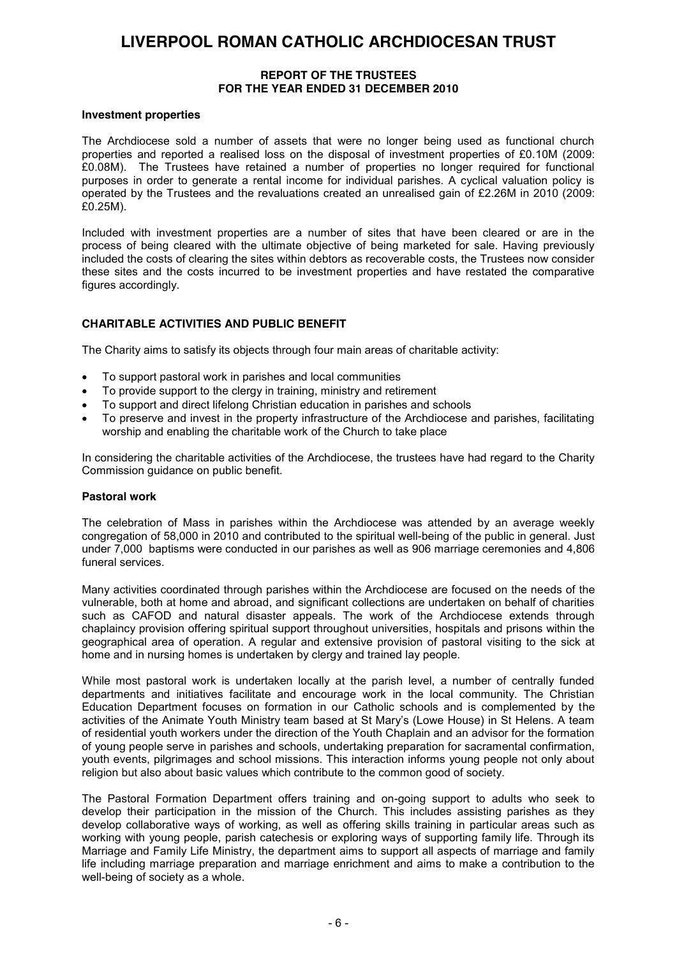#### **REPORT OF THE TRUSTEES FOR THE YEAR ENDED 31 DECEMBER 2010**

#### **Investment properties**

The Archdiocese sold a number of assets that were no longer being used as functional church properties and reported a realised loss on the disposal of investment properties of £0.10M (2009: £0.08M). The Trustees have retained a number of properties no longer required for functional purposes in order to generate a rental income for individual parishes. A cyclical valuation policy is operated by the Trustees and the revaluations created an unrealised gain of £2.26M in 2010 (2009: £0.25M).

Included with investment properties are a number of sites that have been cleared or are in the process of being cleared with the ultimate objective of being marketed for sale. Having previously included the costs of clearing the sites within debtors as recoverable costs, the Trustees now consider these sites and the costs incurred to be investment properties and have restated the comparative figures accordingly.

#### **CHARITABLE ACTIVITIES AND PUBLIC BENEFIT**

The Charity aims to satisfy its objects through four main areas of charitable activity:

- To support pastoral work in parishes and local communities
- To provide support to the clergy in training, ministry and retirement
- To support and direct lifelong Christian education in parishes and schools
- To preserve and invest in the property infrastructure of the Archdiocese and parishes, facilitating worship and enabling the charitable work of the Church to take place

In considering the charitable activities of the Archdiocese, the trustees have had regard to the Charity Commission guidance on public benefit.

#### **Pastoral work**

The celebration of Mass in parishes within the Archdiocese was attended by an average weekly congregation of 58,000 in 2010 and contributed to the spiritual well-being of the public in general. Just under 7,000 baptisms were conducted in our parishes as well as 906 marriage ceremonies and 4,806 funeral services.

Many activities coordinated through parishes within the Archdiocese are focused on the needs of the vulnerable, both at home and abroad, and significant collections are undertaken on behalf of charities such as CAFOD and natural disaster appeals. The work of the Archdiocese extends through chaplaincy provision offering spiritual support throughout universities, hospitals and prisons within the geographical area of operation. A regular and extensive provision of pastoral visiting to the sick at home and in nursing homes is undertaken by clergy and trained lay people.

While most pastoral work is undertaken locally at the parish level, a number of centrally funded departments and initiatives facilitate and encourage work in the local community. The Christian Education Department focuses on formation in our Catholic schools and is complemented by the activities of the Animate Youth Ministry team based at St Mary's (Lowe House) in St Helens. A team of residential youth workers under the direction of the Youth Chaplain and an advisor for the formation of young people serve in parishes and schools, undertaking preparation for sacramental confirmation, youth events, pilgrimages and school missions. This interaction informs young people not only about religion but also about basic values which contribute to the common good of society.

The Pastoral Formation Department offers training and on-going support to adults who seek to develop their participation in the mission of the Church. This includes assisting parishes as they develop collaborative ways of working, as well as offering skills training in particular areas such as working with young people, parish catechesis or exploring ways of supporting family life. Through its Marriage and Family Life Ministry, the department aims to support all aspects of marriage and family life including marriage preparation and marriage enrichment and aims to make a contribution to the well-being of society as a whole.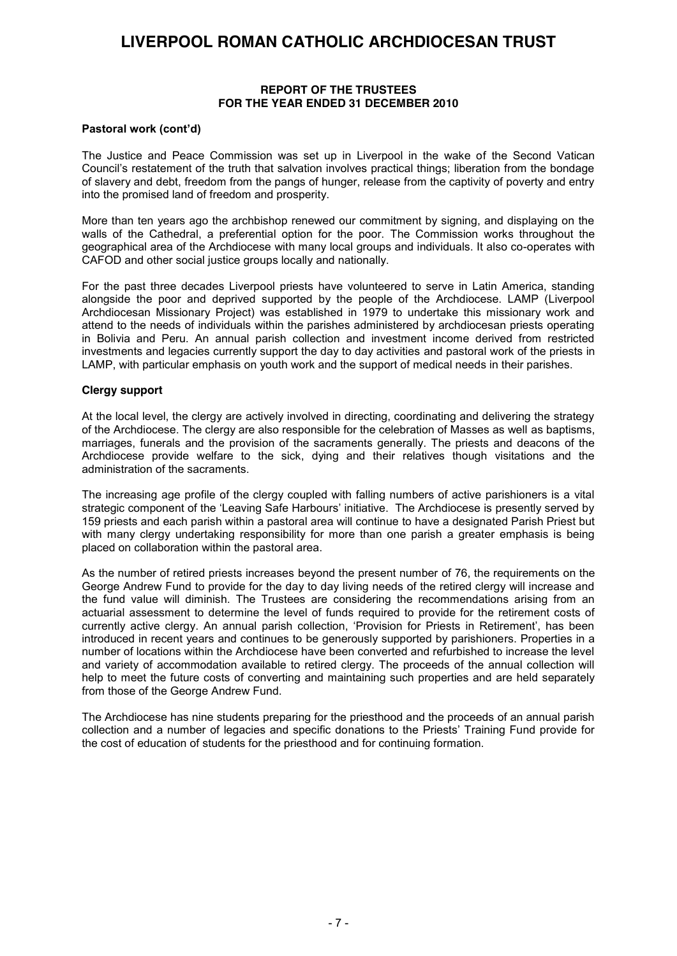#### **REPORT OF THE TRUSTEES FOR THE YEAR ENDED 31 DECEMBER 2010**

#### **Pastoral work (cont'd)**

The Justice and Peace Commission was set up in Liverpool in the wake of the Second Vatican Council's restatement of the truth that salvation involves practical things; liberation from the bondage of slavery and debt, freedom from the pangs of hunger, release from the captivity of poverty and entry into the promised land of freedom and prosperity.

More than ten years ago the archbishop renewed our commitment by signing, and displaying on the walls of the Cathedral, a preferential option for the poor. The Commission works throughout the geographical area of the Archdiocese with many local groups and individuals. It also co-operates with CAFOD and other social justice groups locally and nationally.

For the past three decades Liverpool priests have volunteered to serve in Latin America, standing alongside the poor and deprived supported by the people of the Archdiocese. LAMP (Liverpool Archdiocesan Missionary Project) was established in 1979 to undertake this missionary work and attend to the needs of individuals within the parishes administered by archdiocesan priests operating in Bolivia and Peru. An annual parish collection and investment income derived from restricted investments and legacies currently support the day to day activities and pastoral work of the priests in LAMP, with particular emphasis on youth work and the support of medical needs in their parishes.

#### **Clergy support**

At the local level, the clergy are actively involved in directing, coordinating and delivering the strategy of the Archdiocese. The clergy are also responsible for the celebration of Masses as well as baptisms, marriages, funerals and the provision of the sacraments generally. The priests and deacons of the Archdiocese provide welfare to the sick, dying and their relatives though visitations and the administration of the sacraments.

The increasing age profile of the clergy coupled with falling numbers of active parishioners is a vital strategic component of the 'Leaving Safe Harbours' initiative. The Archdiocese is presently served by 159 priests and each parish within a pastoral area will continue to have a designated Parish Priest but with many clergy undertaking responsibility for more than one parish a greater emphasis is being placed on collaboration within the pastoral area.

As the number of retired priests increases beyond the present number of 76, the requirements on the George Andrew Fund to provide for the day to day living needs of the retired clergy will increase and the fund value will diminish. The Trustees are considering the recommendations arising from an actuarial assessment to determine the level of funds required to provide for the retirement costs of currently active clergy. An annual parish collection, 'Provision for Priests in Retirement', has been introduced in recent years and continues to be generously supported by parishioners. Properties in a number of locations within the Archdiocese have been converted and refurbished to increase the level and variety of accommodation available to retired clergy. The proceeds of the annual collection will help to meet the future costs of converting and maintaining such properties and are held separately from those of the George Andrew Fund.

The Archdiocese has nine students preparing for the priesthood and the proceeds of an annual parish collection and a number of legacies and specific donations to the Priests' Training Fund provide for the cost of education of students for the priesthood and for continuing formation.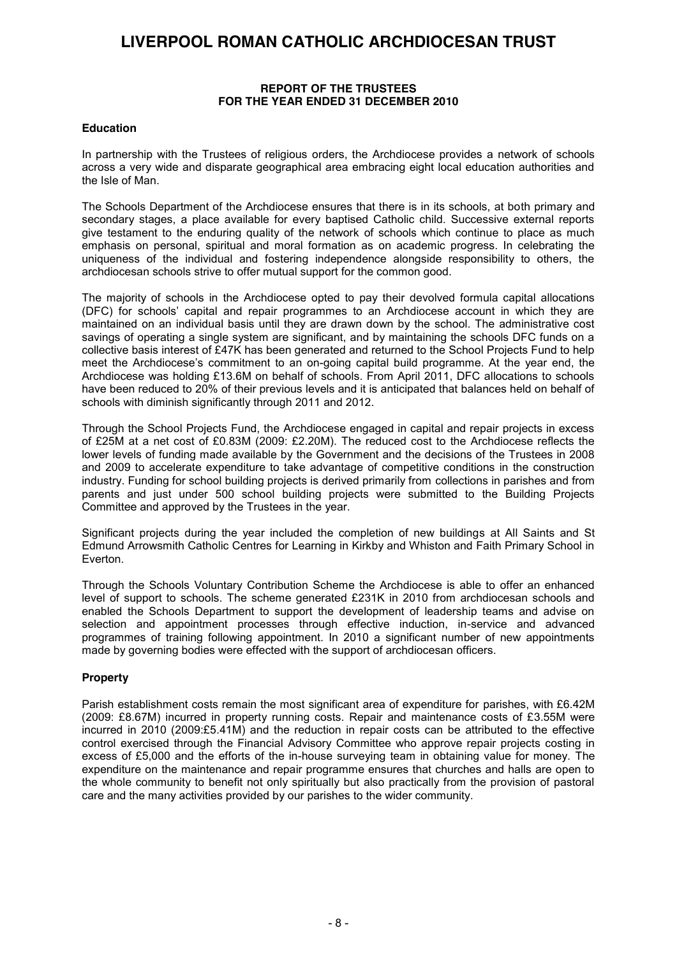#### **REPORT OF THE TRUSTEES FOR THE YEAR ENDED 31 DECEMBER 2010**

#### **Education**

In partnership with the Trustees of religious orders, the Archdiocese provides a network of schools across a very wide and disparate geographical area embracing eight local education authorities and the Isle of Man.

The Schools Department of the Archdiocese ensures that there is in its schools, at both primary and secondary stages, a place available for every baptised Catholic child. Successive external reports give testament to the enduring quality of the network of schools which continue to place as much emphasis on personal, spiritual and moral formation as on academic progress. In celebrating the uniqueness of the individual and fostering independence alongside responsibility to others, the archdiocesan schools strive to offer mutual support for the common good.

The majority of schools in the Archdiocese opted to pay their devolved formula capital allocations (DFC) for schools' capital and repair programmes to an Archdiocese account in which they are maintained on an individual basis until they are drawn down by the school. The administrative cost savings of operating a single system are significant, and by maintaining the schools DFC funds on a collective basis interest of £47K has been generated and returned to the School Projects Fund to help meet the Archdiocese's commitment to an on-going capital build programme. At the year end, the Archdiocese was holding £13.6M on behalf of schools. From April 2011, DFC allocations to schools have been reduced to 20% of their previous levels and it is anticipated that balances held on behalf of schools with diminish significantly through 2011 and 2012.

Through the School Projects Fund, the Archdiocese engaged in capital and repair projects in excess of £25M at a net cost of £0.83M (2009: £2.20M). The reduced cost to the Archdiocese reflects the lower levels of funding made available by the Government and the decisions of the Trustees in 2008 and 2009 to accelerate expenditure to take advantage of competitive conditions in the construction industry. Funding for school building projects is derived primarily from collections in parishes and from parents and just under 500 school building projects were submitted to the Building Projects Committee and approved by the Trustees in the year.

Significant projects during the year included the completion of new buildings at All Saints and St Edmund Arrowsmith Catholic Centres for Learning in Kirkby and Whiston and Faith Primary School in Everton.

Through the Schools Voluntary Contribution Scheme the Archdiocese is able to offer an enhanced level of support to schools. The scheme generated £231K in 2010 from archdiocesan schools and enabled the Schools Department to support the development of leadership teams and advise on selection and appointment processes through effective induction, in-service and advanced programmes of training following appointment. In 2010 a significant number of new appointments made by governing bodies were effected with the support of archdiocesan officers.

#### **Property**

Parish establishment costs remain the most significant area of expenditure for parishes, with £6.42M (2009: £8.67M) incurred in property running costs. Repair and maintenance costs of £3.55M were incurred in 2010 (2009:£5.41M) and the reduction in repair costs can be attributed to the effective control exercised through the Financial Advisory Committee who approve repair projects costing in excess of £5,000 and the efforts of the in-house surveying team in obtaining value for money. The expenditure on the maintenance and repair programme ensures that churches and halls are open to the whole community to benefit not only spiritually but also practically from the provision of pastoral care and the many activities provided by our parishes to the wider community.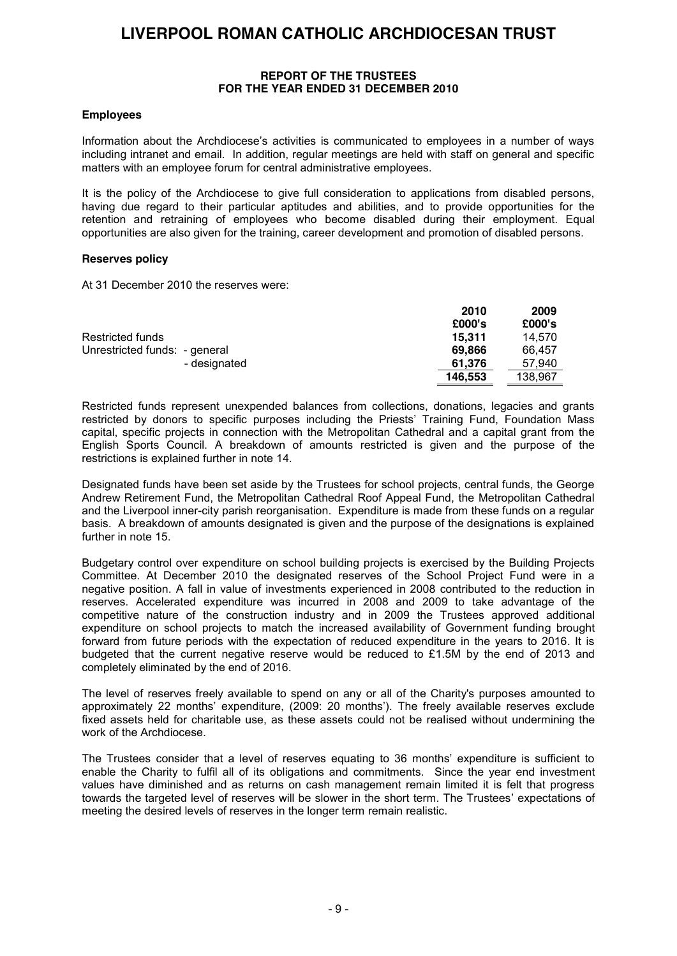#### **REPORT OF THE TRUSTEES FOR THE YEAR ENDED 31 DECEMBER 2010**

#### **Employees**

Information about the Archdiocese's activities is communicated to employees in a number of ways including intranet and email. In addition, regular meetings are held with staff on general and specific matters with an employee forum for central administrative employees.

It is the policy of the Archdiocese to give full consideration to applications from disabled persons, having due regard to their particular aptitudes and abilities, and to provide opportunities for the retention and retraining of employees who become disabled during their employment. Equal opportunities are also given for the training, career development and promotion of disabled persons.

#### **Reserves policy**

At 31 December 2010 the reserves were:

|                               | 2010    | 2009    |
|-------------------------------|---------|---------|
|                               | £000's  | £000's  |
| Restricted funds              | 15.311  | 14.570  |
| Unrestricted funds: - general | 69.866  | 66.457  |
| - designated                  | 61.376  | 57.940  |
|                               | 146.553 | 138.967 |

Restricted funds represent unexpended balances from collections, donations, legacies and grants restricted by donors to specific purposes including the Priests' Training Fund, Foundation Mass capital, specific projects in connection with the Metropolitan Cathedral and a capital grant from the English Sports Council. A breakdown of amounts restricted is given and the purpose of the restrictions is explained further in note 14.

Designated funds have been set aside by the Trustees for school projects, central funds, the George Andrew Retirement Fund, the Metropolitan Cathedral Roof Appeal Fund, the Metropolitan Cathedral and the Liverpool inner-city parish reorganisation. Expenditure is made from these funds on a regular basis. A breakdown of amounts designated is given and the purpose of the designations is explained further in note 15.

Budgetary control over expenditure on school building projects is exercised by the Building Projects Committee. At December 2010 the designated reserves of the School Project Fund were in a negative position. A fall in value of investments experienced in 2008 contributed to the reduction in reserves. Accelerated expenditure was incurred in 2008 and 2009 to take advantage of the competitive nature of the construction industry and in 2009 the Trustees approved additional expenditure on school projects to match the increased availability of Government funding brought forward from future periods with the expectation of reduced expenditure in the years to 2016. It is budgeted that the current negative reserve would be reduced to £1.5M by the end of 2013 and completely eliminated by the end of 2016.

The level of reserves freely available to spend on any or all of the Charity's purposes amounted to approximately 22 months' expenditure, (2009: 20 months'). The freely available reserves exclude fixed assets held for charitable use, as these assets could not be realised without undermining the work of the Archdiocese.

The Trustees consider that a level of reserves equating to 36 months' expenditure is sufficient to enable the Charity to fulfil all of its obligations and commitments. Since the year end investment values have diminished and as returns on cash management remain limited it is felt that progress towards the targeted level of reserves will be slower in the short term. The Trustees' expectations of meeting the desired levels of reserves in the longer term remain realistic.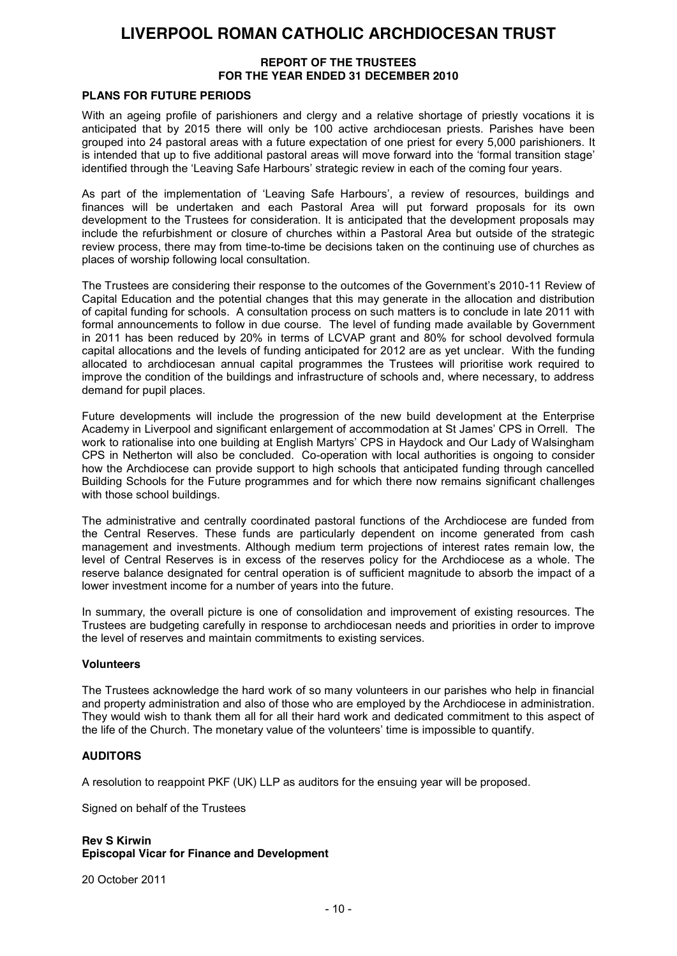#### **REPORT OF THE TRUSTEES FOR THE YEAR ENDED 31 DECEMBER 2010**

#### **PLANS FOR FUTURE PERIODS**

With an ageing profile of parishioners and clergy and a relative shortage of priestly vocations it is anticipated that by 2015 there will only be 100 active archdiocesan priests. Parishes have been grouped into 24 pastoral areas with a future expectation of one priest for every 5,000 parishioners. It is intended that up to five additional pastoral areas will move forward into the 'formal transition stage' identified through the 'Leaving Safe Harbours' strategic review in each of the coming four years.

As part of the implementation of 'Leaving Safe Harbours', a review of resources, buildings and finances will be undertaken and each Pastoral Area will put forward proposals for its own development to the Trustees for consideration. It is anticipated that the development proposals may include the refurbishment or closure of churches within a Pastoral Area but outside of the strategic review process, there may from time-to-time be decisions taken on the continuing use of churches as places of worship following local consultation.

The Trustees are considering their response to the outcomes of the Government's 2010-11 Review of Capital Education and the potential changes that this may generate in the allocation and distribution of capital funding for schools. A consultation process on such matters is to conclude in late 2011 with formal announcements to follow in due course. The level of funding made available by Government in 2011 has been reduced by 20% in terms of LCVAP grant and 80% for school devolved formula capital allocations and the levels of funding anticipated for 2012 are as yet unclear. With the funding allocated to archdiocesan annual capital programmes the Trustees will prioritise work required to improve the condition of the buildings and infrastructure of schools and, where necessary, to address demand for pupil places.

Future developments will include the progression of the new build development at the Enterprise Academy in Liverpool and significant enlargement of accommodation at St James' CPS in Orrell. The work to rationalise into one building at English Martyrs' CPS in Haydock and Our Lady of Walsingham CPS in Netherton will also be concluded. Co-operation with local authorities is ongoing to consider how the Archdiocese can provide support to high schools that anticipated funding through cancelled Building Schools for the Future programmes and for which there now remains significant challenges with those school buildings.

The administrative and centrally coordinated pastoral functions of the Archdiocese are funded from the Central Reserves. These funds are particularly dependent on income generated from cash management and investments. Although medium term projections of interest rates remain low, the level of Central Reserves is in excess of the reserves policy for the Archdiocese as a whole. The reserve balance designated for central operation is of sufficient magnitude to absorb the impact of a lower investment income for a number of years into the future.

In summary, the overall picture is one of consolidation and improvement of existing resources. The Trustees are budgeting carefully in response to archdiocesan needs and priorities in order to improve the level of reserves and maintain commitments to existing services.

#### **Volunteers**

The Trustees acknowledge the hard work of so many volunteers in our parishes who help in financial and property administration and also of those who are employed by the Archdiocese in administration. They would wish to thank them all for all their hard work and dedicated commitment to this aspect of the life of the Church. The monetary value of the volunteers' time is impossible to quantify.

#### **AUDITORS**

A resolution to reappoint PKF (UK) LLP as auditors for the ensuing year will be proposed.

Signed on behalf of the Trustees

#### **Rev S Kirwin Episcopal Vicar for Finance and Development**

20 October 2011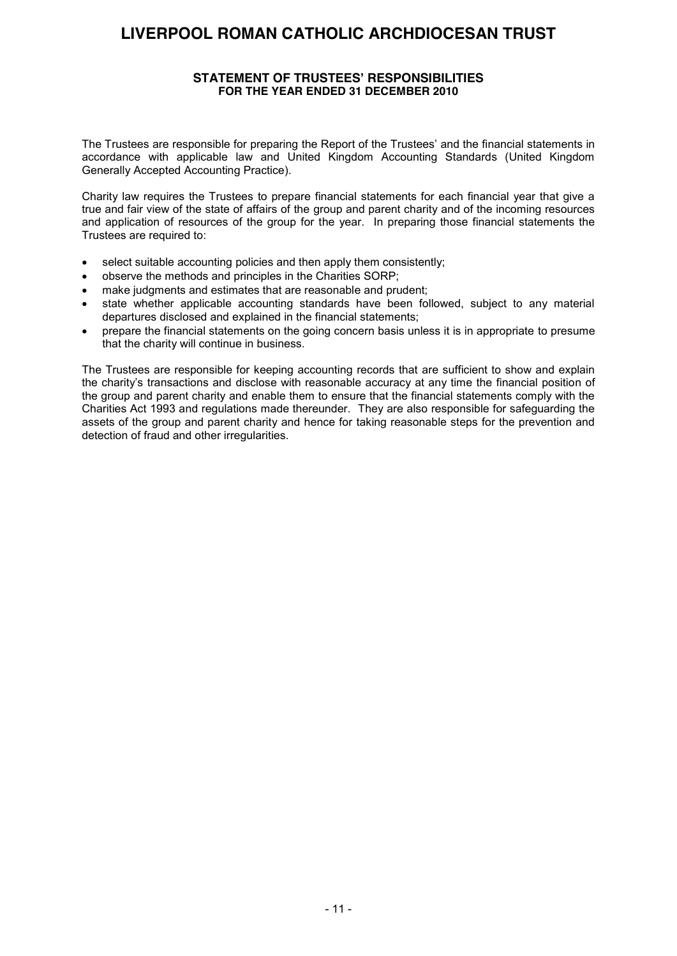#### **STATEMENT OF TRUSTEES' RESPONSIBILITIES FOR THE YEAR ENDED 31 DECEMBER 2010**

The Trustees are responsible for preparing the Report of the Trustees' and the financial statements in accordance with applicable law and United Kingdom Accounting Standards (United Kingdom Generally Accepted Accounting Practice).

Charity law requires the Trustees to prepare financial statements for each financial year that give a true and fair view of the state of affairs of the group and parent charity and of the incoming resources and application of resources of the group for the year. In preparing those financial statements the Trustees are required to:

- select suitable accounting policies and then apply them consistently;
- observe the methods and principles in the Charities SORP;
- make judgments and estimates that are reasonable and prudent;
- state whether applicable accounting standards have been followed, subject to any material departures disclosed and explained in the financial statements;
- prepare the financial statements on the going concern basis unless it is in appropriate to presume that the charity will continue in business.

The Trustees are responsible for keeping accounting records that are sufficient to show and explain the charity's transactions and disclose with reasonable accuracy at any time the financial position of the group and parent charity and enable them to ensure that the financial statements comply with the Charities Act 1993 and regulations made thereunder. They are also responsible for safeguarding the assets of the group and parent charity and hence for taking reasonable steps for the prevention and detection of fraud and other irregularities.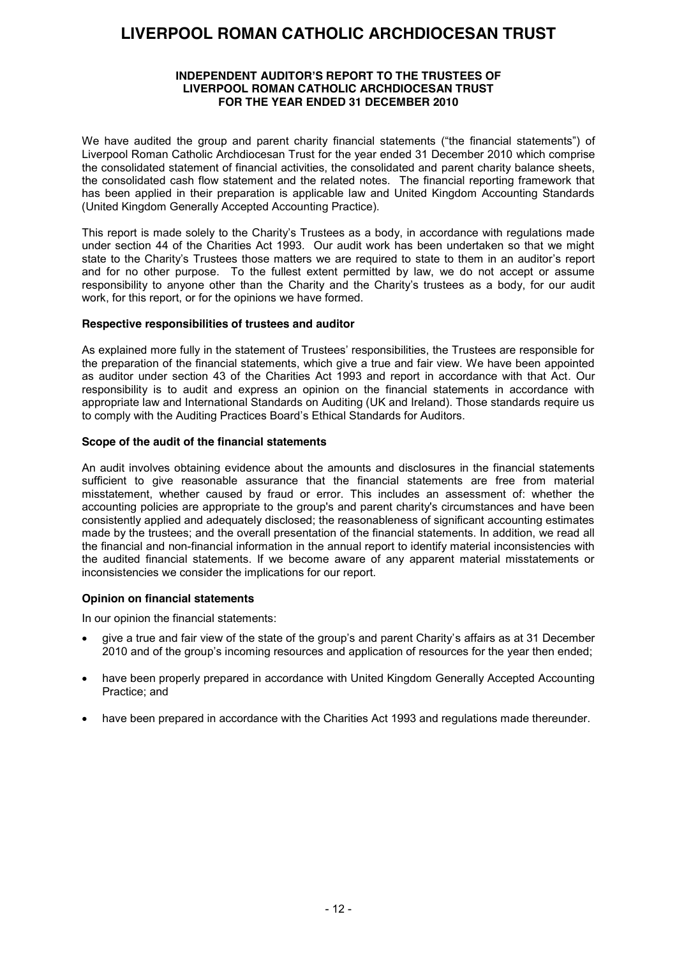#### **INDEPENDENT AUDITOR'S REPORT TO THE TRUSTEES OF LIVERPOOL ROMAN CATHOLIC ARCHDIOCESAN TRUST FOR THE YEAR ENDED 31 DECEMBER 2010**

We have audited the group and parent charity financial statements ("the financial statements") of Liverpool Roman Catholic Archdiocesan Trust for the year ended 31 December 2010 which comprise the consolidated statement of financial activities, the consolidated and parent charity balance sheets, the consolidated cash flow statement and the related notes. The financial reporting framework that has been applied in their preparation is applicable law and United Kingdom Accounting Standards (United Kingdom Generally Accepted Accounting Practice).

This report is made solely to the Charity's Trustees as a body, in accordance with regulations made under section 44 of the Charities Act 1993. Our audit work has been undertaken so that we might state to the Charity's Trustees those matters we are required to state to them in an auditor's report and for no other purpose. To the fullest extent permitted by law, we do not accept or assume responsibility to anyone other than the Charity and the Charity's trustees as a body, for our audit work, for this report, or for the opinions we have formed.

#### **Respective responsibilities of trustees and auditor**

As explained more fully in the statement of Trustees' responsibilities, the Trustees are responsible for the preparation of the financial statements, which give a true and fair view. We have been appointed as auditor under section 43 of the Charities Act 1993 and report in accordance with that Act. Our responsibility is to audit and express an opinion on the financial statements in accordance with appropriate law and International Standards on Auditing (UK and Ireland). Those standards require us to comply with the Auditing Practices Board's Ethical Standards for Auditors.

#### **Scope of the audit of the financial statements**

An audit involves obtaining evidence about the amounts and disclosures in the financial statements sufficient to give reasonable assurance that the financial statements are free from material misstatement, whether caused by fraud or error. This includes an assessment of: whether the accounting policies are appropriate to the group's and parent charity's circumstances and have been consistently applied and adequately disclosed; the reasonableness of significant accounting estimates made by the trustees; and the overall presentation of the financial statements. In addition, we read all the financial and non-financial information in the annual report to identify material inconsistencies with the audited financial statements. If we become aware of any apparent material misstatements or inconsistencies we consider the implications for our report.

#### **Opinion on financial statements**

In our opinion the financial statements:

- give a true and fair view of the state of the group's and parent Charity's affairs as at 31 December 2010 and of the group's incoming resources and application of resources for the year then ended;
- have been properly prepared in accordance with United Kingdom Generally Accepted Accounting Practice; and
- have been prepared in accordance with the Charities Act 1993 and regulations made thereunder.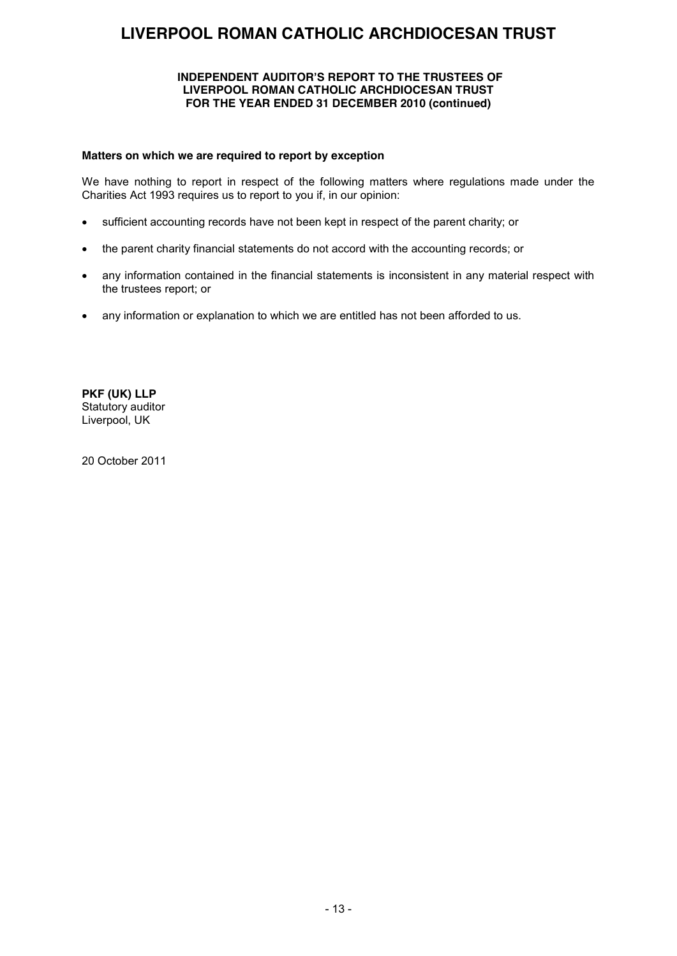#### **INDEPENDENT AUDITOR'S REPORT TO THE TRUSTEES OF LIVERPOOL ROMAN CATHOLIC ARCHDIOCESAN TRUST FOR THE YEAR ENDED 31 DECEMBER 2010 (continued)**

#### **Matters on which we are required to report by exception**

We have nothing to report in respect of the following matters where regulations made under the Charities Act 1993 requires us to report to you if, in our opinion:

- sufficient accounting records have not been kept in respect of the parent charity; or
- the parent charity financial statements do not accord with the accounting records; or
- any information contained in the financial statements is inconsistent in any material respect with the trustees report; or
- any information or explanation to which we are entitled has not been afforded to us.

**PKF (UK) LLP** Statutory auditor Liverpool, UK

20 October 2011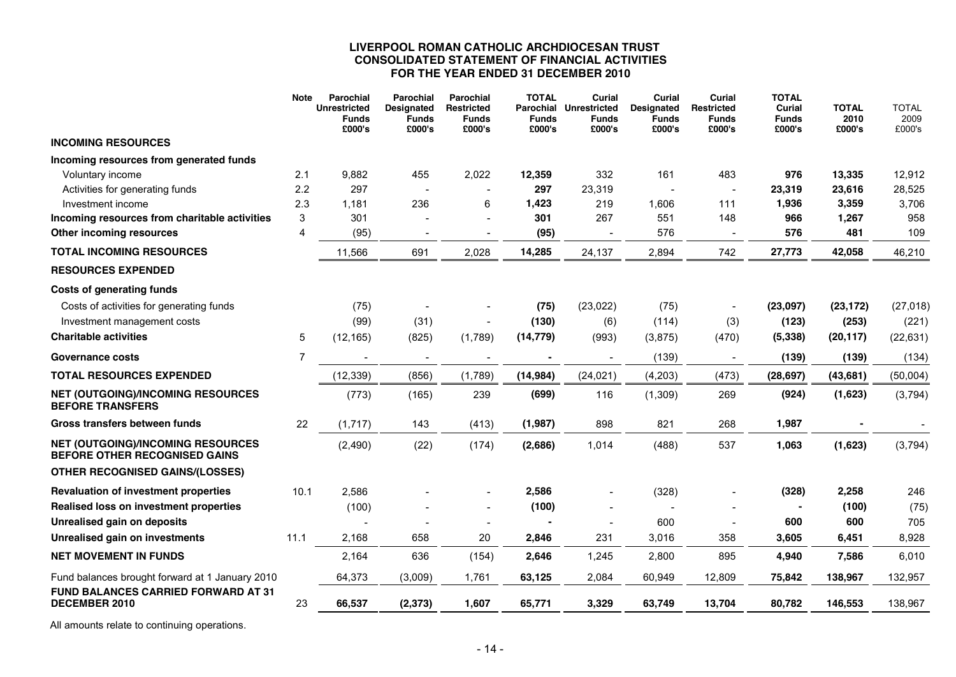#### **LIVERPOOL ROMAN CATHOLIC ARCHDIOCESAN TRUST CONSOLIDATED STATEMENT OF FINANCIAL ACTIVITIES FOR THE YEAR ENDED 31 DECEMBER 2010**

|                                                                           | <b>Note</b> | Parochial<br><b>Unrestricted</b><br><b>Funds</b><br>£000's | <b>Parochial</b><br><b>Designated</b><br><b>Funds</b><br>£000's | <b>Parochial</b><br><b>Restricted</b><br><b>Funds</b><br>£000's | <b>TOTAL</b><br>Parochial<br><b>Funds</b><br>£000's | Curial<br><b>Unrestricted</b><br><b>Funds</b><br>£000's | Curial<br><b>Designated</b><br>Funds<br>£000's | Curial<br><b>Restricted</b><br><b>Funds</b><br>£000's | <b>TOTAL</b><br>Curial<br><b>Funds</b><br>£000's | <b>TOTAL</b><br>2010<br>£000's | <b>TOTAL</b><br>2009<br>£000's |
|---------------------------------------------------------------------------|-------------|------------------------------------------------------------|-----------------------------------------------------------------|-----------------------------------------------------------------|-----------------------------------------------------|---------------------------------------------------------|------------------------------------------------|-------------------------------------------------------|--------------------------------------------------|--------------------------------|--------------------------------|
| <b>INCOMING RESOURCES</b>                                                 |             |                                                            |                                                                 |                                                                 |                                                     |                                                         |                                                |                                                       |                                                  |                                |                                |
| Incoming resources from generated funds                                   |             |                                                            |                                                                 |                                                                 |                                                     |                                                         |                                                |                                                       |                                                  |                                |                                |
| Voluntary income                                                          | 2.1         | 9,882                                                      | 455                                                             | 2,022                                                           | 12,359                                              | 332                                                     | 161                                            | 483                                                   | 976                                              | 13,335                         | 12,912                         |
| Activities for generating funds                                           | 2.2         | 297                                                        |                                                                 |                                                                 | 297                                                 | 23,319                                                  |                                                |                                                       | 23,319                                           | 23,616                         | 28,525                         |
| Investment income                                                         | 2.3         | 1,181                                                      | 236                                                             | 6                                                               | 1,423                                               | 219                                                     | 1,606                                          | 111                                                   | 1,936                                            | 3,359                          | 3,706                          |
| Incoming resources from charitable activities                             | 3           | 301                                                        |                                                                 |                                                                 | 301                                                 | 267                                                     | 551                                            | 148                                                   | 966                                              | 1,267                          | 958                            |
| Other incoming resources                                                  | 4           | (95)                                                       |                                                                 |                                                                 | (95)                                                |                                                         | 576                                            |                                                       | 576                                              | 481                            | 109                            |
| <b>TOTAL INCOMING RESOURCES</b>                                           |             | 11,566                                                     | 691                                                             | 2,028                                                           | 14,285                                              | 24,137                                                  | 2,894                                          | 742                                                   | 27,773                                           | 42,058                         | 46,210                         |
| <b>RESOURCES EXPENDED</b>                                                 |             |                                                            |                                                                 |                                                                 |                                                     |                                                         |                                                |                                                       |                                                  |                                |                                |
| <b>Costs of generating funds</b>                                          |             |                                                            |                                                                 |                                                                 |                                                     |                                                         |                                                |                                                       |                                                  |                                |                                |
| Costs of activities for generating funds                                  |             | (75)                                                       |                                                                 |                                                                 | (75)                                                | (23, 022)                                               | (75)                                           |                                                       | (23,097)                                         | (23, 172)                      | (27, 018)                      |
| Investment management costs                                               |             | (99)                                                       | (31)                                                            |                                                                 | (130)                                               | (6)                                                     | (114)                                          | (3)                                                   | (123)                                            | (253)                          | (221)                          |
| <b>Charitable activities</b>                                              | 5           | (12, 165)                                                  | (825)                                                           | (1,789)                                                         | (14, 779)                                           | (993)                                                   | (3,875)                                        | (470)                                                 | (5, 338)                                         | (20, 117)                      | (22, 631)                      |
| <b>Governance costs</b>                                                   | 7           |                                                            |                                                                 | $\overline{\phantom{a}}$                                        |                                                     |                                                         | (139)                                          |                                                       | (139)                                            | (139)                          | (134)                          |
| <b>TOTAL RESOURCES EXPENDED</b>                                           |             | (12, 339)                                                  | (856)                                                           | (1,789)                                                         | (14, 984)                                           | (24, 021)                                               | (4,203)                                        | (473)                                                 | (28, 697)                                        | (43, 681)                      | (50,004)                       |
| <b>NET (OUTGOING)/INCOMING RESOURCES</b><br><b>BEFORE TRANSFERS</b>       |             | (773)                                                      | (165)                                                           | 239                                                             | (699)                                               | 116                                                     | (1,309)                                        | 269                                                   | (924)                                            | (1,623)                        | (3,794)                        |
| Gross transfers between funds                                             | 22          | (1,717)                                                    | 143                                                             | (413)                                                           | (1,987)                                             | 898                                                     | 821                                            | 268                                                   | 1,987                                            |                                |                                |
| <b>NET (OUTGOING)/INCOMING RESOURCES</b><br>BEFORE OTHER RECOGNISED GAINS |             | (2,490)                                                    | (22)                                                            | (174)                                                           | (2,686)                                             | 1,014                                                   | (488)                                          | 537                                                   | 1,063                                            | (1,623)                        | (3,794)                        |
| <b>OTHER RECOGNISED GAINS/(LOSSES)</b>                                    |             |                                                            |                                                                 |                                                                 |                                                     |                                                         |                                                |                                                       |                                                  |                                |                                |
| <b>Revaluation of investment properties</b>                               | 10.1        | 2,586                                                      |                                                                 |                                                                 | 2,586                                               |                                                         | (328)                                          |                                                       | (328)                                            | 2,258                          | 246                            |
| Realised loss on investment properties                                    |             | (100)                                                      |                                                                 |                                                                 | (100)                                               |                                                         |                                                |                                                       |                                                  | (100)                          | (75)                           |
| Unrealised gain on deposits                                               |             |                                                            |                                                                 |                                                                 |                                                     |                                                         | 600                                            |                                                       | 600                                              | 600                            | 705                            |
| Unrealised gain on investments                                            | 11.1        | 2,168                                                      | 658                                                             | 20                                                              | 2,846                                               | 231                                                     | 3,016                                          | 358                                                   | 3,605                                            | 6,451                          | 8,928                          |
| <b>NET MOVEMENT IN FUNDS</b>                                              |             | 2.164                                                      | 636                                                             | (154)                                                           | 2,646                                               | 1,245                                                   | 2,800                                          | 895                                                   | 4,940                                            | 7,586                          | 6,010                          |
| Fund balances brought forward at 1 January 2010                           |             | 64,373                                                     | (3,009)                                                         | 1,761                                                           | 63,125                                              | 2,084                                                   | 60,949                                         | 12,809                                                | 75,842                                           | 138,967                        | 132,957                        |
| FUND BALANCES CARRIED FORWARD AT 31<br>DECEMBER 2010                      | 23          | 66,537                                                     | (2, 373)                                                        | 1,607                                                           | 65,771                                              | 3,329                                                   | 63,749                                         | 13,704                                                | 80,782                                           | 146,553                        | 138,967                        |

All amounts relate to continuing operations.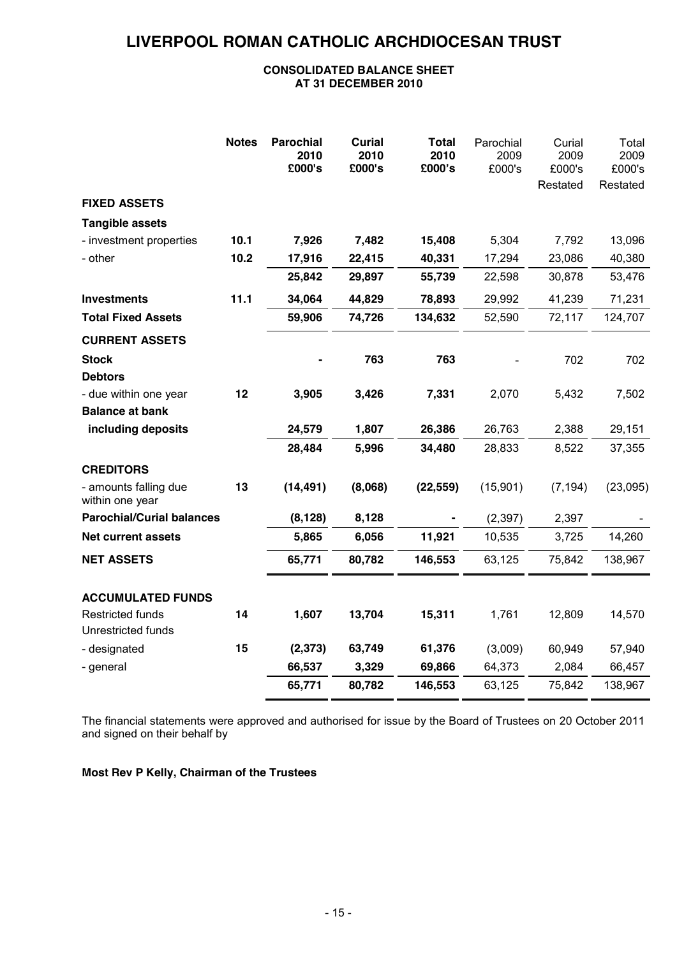#### **CONSOLIDATED BALANCE SHEET AT 31 DECEMBER 2010**

|                                          | <b>Notes</b> | <b>Parochial</b><br>2010<br>£000's | <b>Curial</b><br>2010<br>£000's | <b>Total</b><br>2010<br>£000's | Parochial<br>2009<br>£000's | Curial<br>2009<br>£000's<br>Restated | Total<br>2009<br>£000's<br>Restated |
|------------------------------------------|--------------|------------------------------------|---------------------------------|--------------------------------|-----------------------------|--------------------------------------|-------------------------------------|
| <b>FIXED ASSETS</b>                      |              |                                    |                                 |                                |                             |                                      |                                     |
| <b>Tangible assets</b>                   |              |                                    |                                 |                                |                             |                                      |                                     |
| - investment properties                  | 10.1         | 7,926                              | 7,482                           | 15,408                         | 5,304                       | 7,792                                | 13,096                              |
| - other                                  | 10.2         | 17,916                             | 22,415                          | 40,331                         | 17,294                      | 23,086                               | 40,380                              |
|                                          |              | 25,842                             | 29,897                          | 55,739                         | 22,598                      | 30,878                               | 53,476                              |
| <b>Investments</b>                       | 11.1         | 34,064                             | 44,829                          | 78,893                         | 29,992                      | 41,239                               | 71,231                              |
| <b>Total Fixed Assets</b>                |              | 59,906                             | 74,726                          | 134,632                        | 52,590                      | 72,117                               | 124,707                             |
| <b>CURRENT ASSETS</b>                    |              |                                    |                                 |                                |                             |                                      |                                     |
| <b>Stock</b>                             |              |                                    | 763                             | 763                            |                             | 702                                  | 702                                 |
| <b>Debtors</b>                           |              |                                    |                                 |                                |                             |                                      |                                     |
| - due within one year                    | 12           | 3,905                              | 3,426                           | 7,331                          | 2,070                       | 5,432                                | 7,502                               |
| <b>Balance at bank</b>                   |              |                                    |                                 |                                |                             |                                      |                                     |
| including deposits                       |              | 24,579                             | 1,807                           | 26,386                         | 26,763                      | 2,388                                | 29,151                              |
|                                          |              | 28,484                             | 5,996                           | 34,480                         | 28,833                      | 8,522                                | 37,355                              |
| <b>CREDITORS</b>                         |              |                                    |                                 |                                |                             |                                      |                                     |
| - amounts falling due<br>within one year | 13           | (14, 491)                          | (8,068)                         | (22, 559)                      | (15,901)                    | (7, 194)                             | (23,095)                            |
| <b>Parochial/Curial balances</b>         |              | (8, 128)                           | 8,128                           |                                | (2, 397)                    | 2,397                                |                                     |
| <b>Net current assets</b>                |              | 5,865                              | 6,056                           | 11,921                         | 10,535                      | 3,725                                | 14,260                              |
| <b>NET ASSETS</b>                        |              | 65,771                             | 80,782                          | 146,553                        | 63,125                      | 75,842                               | 138,967                             |
|                                          |              |                                    |                                 |                                |                             |                                      |                                     |
| <b>ACCUMULATED FUNDS</b>                 |              |                                    |                                 |                                |                             |                                      |                                     |
| Restricted funds                         | 14           | 1,607                              | 13,704                          | 15,311                         | 1,761                       | 12,809                               | 14,570                              |
| Unrestricted funds                       |              |                                    |                                 |                                |                             |                                      |                                     |
| - designated                             | 15           | (2, 373)                           | 63,749                          | 61,376                         | (3,009)                     | 60,949                               | 57,940                              |
| - general                                |              | 66,537                             | 3,329                           | 69,866                         | 64,373                      | 2,084                                | 66,457                              |
|                                          |              | 65,771                             | 80,782                          | 146,553                        | 63,125                      | 75,842                               | 138,967                             |

The financial statements were approved and authorised for issue by the Board of Trustees on 20 October 2011 and signed on their behalf by

**Most Rev P Kelly, Chairman of the Trustees**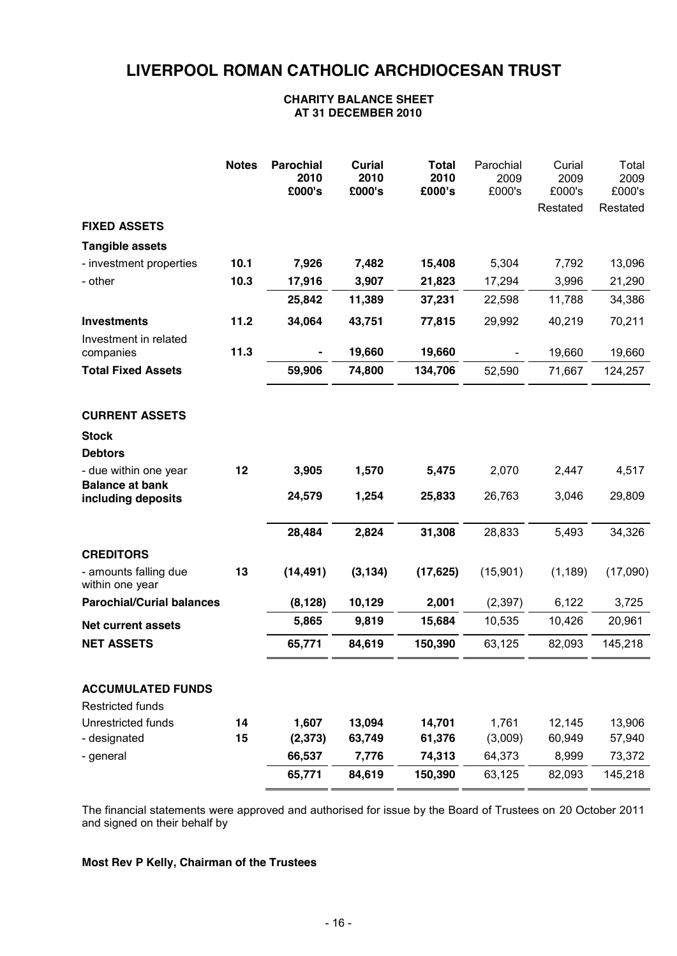#### **CHARITY BALANCE SHEET AT 31 DECEMBER 2010**

|                                                              | <b>Notes</b> | <b>Parochial</b><br>2010<br>£000's | <b>Curial</b><br>2010<br>£000's | <b>Total</b><br>2010<br>£000's | Parochial<br>2009<br>£000's | Curial<br>2009<br>£000's<br>Restated | Total<br>2009<br>£000's<br>Restated |
|--------------------------------------------------------------|--------------|------------------------------------|---------------------------------|--------------------------------|-----------------------------|--------------------------------------|-------------------------------------|
| <b>FIXED ASSETS</b>                                          |              |                                    |                                 |                                |                             |                                      |                                     |
| <b>Tangible assets</b>                                       |              |                                    |                                 |                                |                             |                                      |                                     |
| - investment properties                                      | 10.1         | 7,926                              | 7,482                           | 15,408                         | 5,304                       | 7,792                                | 13,096                              |
| - other                                                      | 10.3         | 17,916                             | 3,907                           | 21,823                         | 17,294                      | 3,996                                | 21,290                              |
|                                                              |              | 25,842                             | 11,389                          | 37,231                         | 22,598                      | 11,788                               | 34,386                              |
| <b>Investments</b>                                           | 11.2         | 34,064                             | 43,751                          | 77,815                         | 29,992                      | 40,219                               | 70,211                              |
| Investment in related<br>companies                           | 11.3         |                                    | 19,660                          | 19,660                         |                             | 19,660                               | 19,660                              |
| <b>Total Fixed Assets</b>                                    |              | 59,906                             | 74,800                          | 134,706                        | 52,590                      | 71,667                               | 124,257                             |
| <b>CURRENT ASSETS</b><br><b>Stock</b>                        |              |                                    |                                 |                                |                             |                                      |                                     |
| <b>Debtors</b>                                               |              |                                    |                                 |                                |                             |                                      |                                     |
| - due within one year<br><b>Balance at bank</b>              | 12           | 3,905                              | 1,570                           | 5,475                          | 2,070                       | 2,447                                | 4,517                               |
| including deposits                                           |              | 24,579                             | 1,254                           | 25,833                         | 26,763                      | 3,046                                | 29,809                              |
|                                                              |              | 28,484                             | 2,824                           | 31,308                         | 28,833                      | 5,493                                | 34,326                              |
| <b>CREDITORS</b><br>- amounts falling due<br>within one year | 13           | (14, 491)                          | (3, 134)                        | (17, 625)                      | (15,901)                    | (1, 189)                             | (17,090)                            |
| <b>Parochial/Curial balances</b>                             |              | (8, 128)                           | 10,129                          | 2,001                          | (2, 397)                    | 6,122                                | 3,725                               |
| <b>Net current assets</b>                                    |              | 5,865                              | 9,819                           | 15,684                         | 10,535                      | 10,426                               | 20,961                              |
| <b>NET ASSETS</b>                                            |              | 65,771                             | 84,619                          | 150,390                        | 63,125                      | 82,093                               | 145,218                             |
| <b>ACCUMULATED FUNDS</b><br><b>Restricted funds</b>          |              |                                    |                                 |                                |                             |                                      |                                     |
| Unrestricted funds                                           | 14           | 1,607                              | 13,094                          | 14,701                         | 1,761                       | 12,145                               | 13,906                              |
| - designated                                                 | 15           | (2, 373)                           | 63,749                          | 61,376                         | (3,009)                     | 60,949                               | 57,940                              |
| - general                                                    |              | 66,537                             | 7,776                           | 74,313                         | 64,373                      | 8,999                                | 73,372                              |
|                                                              |              | 65,771                             | 84,619                          | 150,390                        | 63,125                      | 82,093                               | 145,218                             |

The financial statements were approved and authorised for issue by the Board of Trustees on 20 October 2011 and signed on their behalf by

#### **Most Rev P Kelly, Chairman of the Trustees**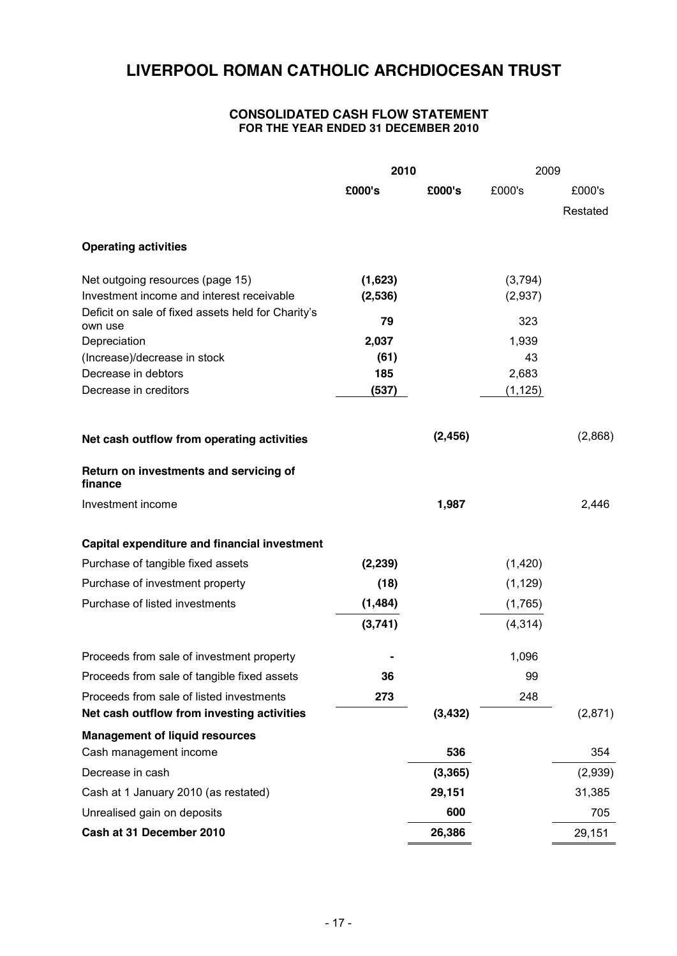#### **CONSOLIDATED CASH FLOW STATEMENT FOR THE YEAR ENDED 31 DECEMBER 2010**

|                                                               | 2010     |          | 2009     |          |
|---------------------------------------------------------------|----------|----------|----------|----------|
|                                                               | £000's   | £000's   | £000's   | £000's   |
|                                                               |          |          |          | Restated |
| <b>Operating activities</b>                                   |          |          |          |          |
| Net outgoing resources (page 15)                              | (1,623)  |          | (3,794)  |          |
| Investment income and interest receivable                     | (2,536)  |          | (2,937)  |          |
| Deficit on sale of fixed assets held for Charity's<br>own use | 79       |          | 323      |          |
| Depreciation                                                  | 2,037    |          | 1,939    |          |
| (Increase)/decrease in stock                                  | (61)     |          | 43       |          |
| Decrease in debtors                                           | 185      |          | 2,683    |          |
| Decrease in creditors                                         | (537)    |          | (1, 125) |          |
| Net cash outflow from operating activities                    |          | (2, 456) |          | (2,868)  |
| Return on investments and servicing of<br>finance             |          |          |          |          |
| Investment income                                             |          | 1,987    |          | 2,446    |
| Capital expenditure and financial investment                  |          |          |          |          |
| Purchase of tangible fixed assets                             | (2, 239) |          | (1,420)  |          |
| Purchase of investment property                               | (18)     |          | (1, 129) |          |
| Purchase of listed investments                                | (1, 484) |          | (1,765)  |          |
|                                                               | (3,741)  |          | (4, 314) |          |
| Proceeds from sale of investment property                     |          |          | 1,096    |          |
| Proceeds from sale of tangible fixed assets                   | 36       |          | 99       |          |
| Proceeds from sale of listed investments                      | 273      |          | 248      |          |
| Net cash outflow from investing activities                    |          | (3, 432) |          | (2,871)  |
| <b>Management of liquid resources</b>                         |          |          |          |          |
| Cash management income                                        |          | 536      |          | 354      |
| Decrease in cash                                              |          | (3, 365) |          | (2,939)  |
| Cash at 1 January 2010 (as restated)                          |          | 29,151   |          | 31,385   |
| Unrealised gain on deposits                                   |          | 600      |          | 705      |
| Cash at 31 December 2010                                      |          | 26,386   |          | 29,151   |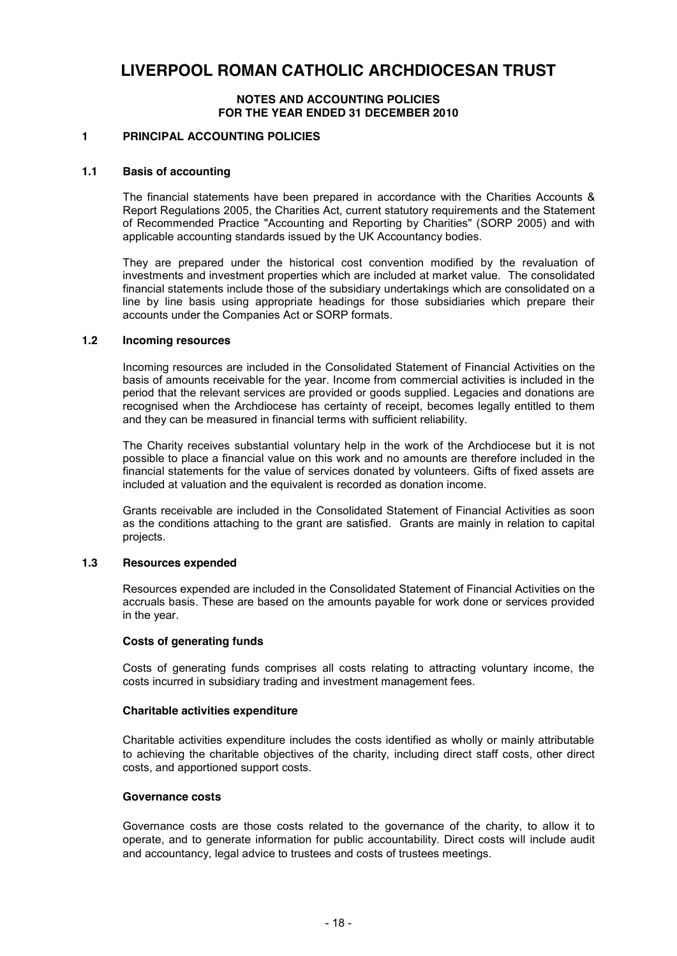#### **NOTES AND ACCOUNTING POLICIES FOR THE YEAR ENDED 31 DECEMBER 2010**

#### **1 PRINCIPAL ACCOUNTING POLICIES**

#### **1.1 Basis of accounting**

The financial statements have been prepared in accordance with the Charities Accounts & Report Regulations 2005, the Charities Act, current statutory requirements and the Statement of Recommended Practice "Accounting and Reporting by Charities" (SORP 2005) and with applicable accounting standards issued by the UK Accountancy bodies.

They are prepared under the historical cost convention modified by the revaluation of investments and investment properties which are included at market value. The consolidated financial statements include those of the subsidiary undertakings which are consolidated on a line by line basis using appropriate headings for those subsidiaries which prepare their accounts under the Companies Act or SORP formats.

#### **1.2 Incoming resources**

Incoming resources are included in the Consolidated Statement of Financial Activities on the basis of amounts receivable for the year. Income from commercial activities is included in the period that the relevant services are provided or goods supplied. Legacies and donations are recognised when the Archdiocese has certainty of receipt, becomes legally entitled to them and they can be measured in financial terms with sufficient reliability.

The Charity receives substantial voluntary help in the work of the Archdiocese but it is not possible to place a financial value on this work and no amounts are therefore included in the financial statements for the value of services donated by volunteers. Gifts of fixed assets are included at valuation and the equivalent is recorded as donation income.

Grants receivable are included in the Consolidated Statement of Financial Activities as soon as the conditions attaching to the grant are satisfied. Grants are mainly in relation to capital projects.

#### **1.3 Resources expended**

Resources expended are included in the Consolidated Statement of Financial Activities on the accruals basis. These are based on the amounts payable for work done or services provided in the year.

#### **Costs of generating funds**

Costs of generating funds comprises all costs relating to attracting voluntary income, the costs incurred in subsidiary trading and investment management fees.

#### **Charitable activities expenditure**

Charitable activities expenditure includes the costs identified as wholly or mainly attributable to achieving the charitable objectives of the charity, including direct staff costs, other direct costs, and apportioned support costs.

#### **Governance costs**

Governance costs are those costs related to the governance of the charity, to allow it to operate, and to generate information for public accountability. Direct costs will include audit and accountancy, legal advice to trustees and costs of trustees meetings.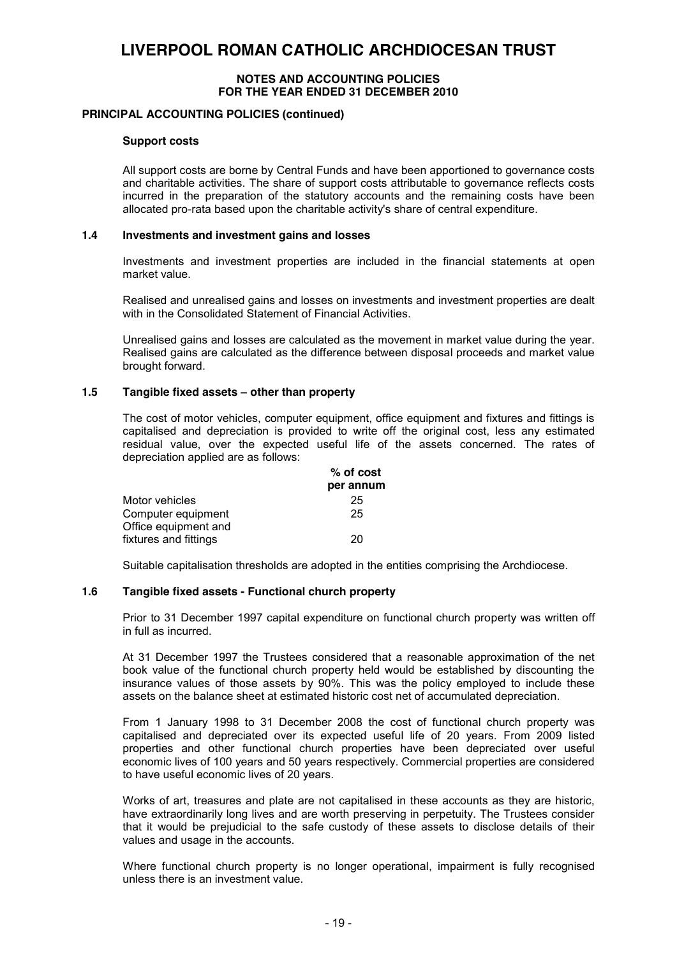#### **NOTES AND ACCOUNTING POLICIES FOR THE YEAR ENDED 31 DECEMBER 2010**

#### **PRINCIPAL ACCOUNTING POLICIES (continued)**

#### **Support costs**

All support costs are borne by Central Funds and have been apportioned to governance costs and charitable activities. The share of support costs attributable to governance reflects costs incurred in the preparation of the statutory accounts and the remaining costs have been allocated pro-rata based upon the charitable activity's share of central expenditure.

#### **1.4 Investments and investment gains and losses**

Investments and investment properties are included in the financial statements at open market value.

Realised and unrealised gains and losses on investments and investment properties are dealt with in the Consolidated Statement of Financial Activities.

Unrealised gains and losses are calculated as the movement in market value during the year. Realised gains are calculated as the difference between disposal proceeds and market value brought forward.

#### **1.5 Tangible fixed assets – other than property**

The cost of motor vehicles, computer equipment, office equipment and fixtures and fittings is capitalised and depreciation is provided to write off the original cost, less any estimated residual value, over the expected useful life of the assets concerned. The rates of depreciation applied are as follows:

|                       | % of cost |
|-----------------------|-----------|
|                       | per annum |
| Motor vehicles        | 25        |
| Computer equipment    | 25        |
| Office equipment and  |           |
| fixtures and fittings | 20        |

Suitable capitalisation thresholds are adopted in the entities comprising the Archdiocese.

#### **1.6 Tangible fixed assets - Functional church property**

Prior to 31 December 1997 capital expenditure on functional church property was written off in full as incurred.

At 31 December 1997 the Trustees considered that a reasonable approximation of the net book value of the functional church property held would be established by discounting the insurance values of those assets by 90%. This was the policy employed to include these assets on the balance sheet at estimated historic cost net of accumulated depreciation.

From 1 January 1998 to 31 December 2008 the cost of functional church property was capitalised and depreciated over its expected useful life of 20 years. From 2009 listed properties and other functional church properties have been depreciated over useful economic lives of 100 years and 50 years respectively. Commercial properties are considered to have useful economic lives of 20 years.

Works of art, treasures and plate are not capitalised in these accounts as they are historic, have extraordinarily long lives and are worth preserving in perpetuity. The Trustees consider that it would be prejudicial to the safe custody of these assets to disclose details of their values and usage in the accounts.

Where functional church property is no longer operational, impairment is fully recognised unless there is an investment value.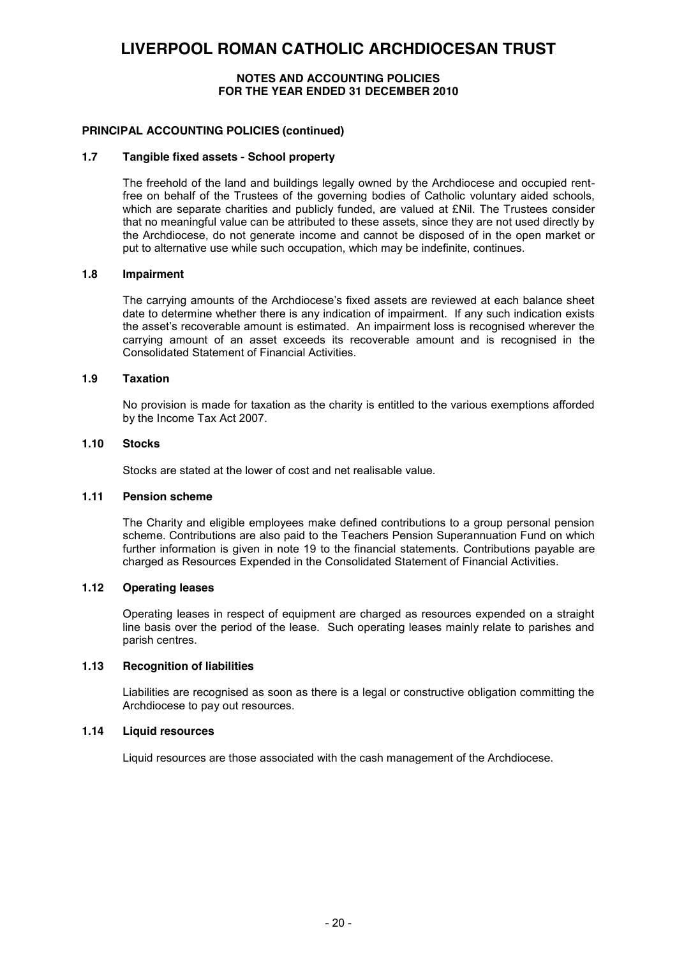#### **NOTES AND ACCOUNTING POLICIES FOR THE YEAR ENDED 31 DECEMBER 2010**

#### **PRINCIPAL ACCOUNTING POLICIES (continued)**

#### **1.7 Tangible fixed assets - School property**

The freehold of the land and buildings legally owned by the Archdiocese and occupied rentfree on behalf of the Trustees of the governing bodies of Catholic voluntary aided schools, which are separate charities and publicly funded, are valued at £Nil. The Trustees consider that no meaningful value can be attributed to these assets, since they are not used directly by the Archdiocese, do not generate income and cannot be disposed of in the open market or put to alternative use while such occupation, which may be indefinite, continues.

#### **1.8 Impairment**

The carrying amounts of the Archdiocese's fixed assets are reviewed at each balance sheet date to determine whether there is any indication of impairment. If any such indication exists the asset's recoverable amount is estimated. An impairment loss is recognised wherever the carrying amount of an asset exceeds its recoverable amount and is recognised in the Consolidated Statement of Financial Activities.

#### **1.9 Taxation**

No provision is made for taxation as the charity is entitled to the various exemptions afforded by the Income Tax Act 2007.

#### **1.10 Stocks**

Stocks are stated at the lower of cost and net realisable value.

#### **1.11 Pension scheme**

The Charity and eligible employees make defined contributions to a group personal pension scheme. Contributions are also paid to the Teachers Pension Superannuation Fund on which further information is given in note 19 to the financial statements. Contributions payable are charged as Resources Expended in the Consolidated Statement of Financial Activities.

#### **1.12 Operating leases**

Operating leases in respect of equipment are charged as resources expended on a straight line basis over the period of the lease. Such operating leases mainly relate to parishes and parish centres.

#### **1.13 Recognition of liabilities**

Liabilities are recognised as soon as there is a legal or constructive obligation committing the Archdiocese to pay out resources.

#### **1.14 Liquid resources**

Liquid resources are those associated with the cash management of the Archdiocese.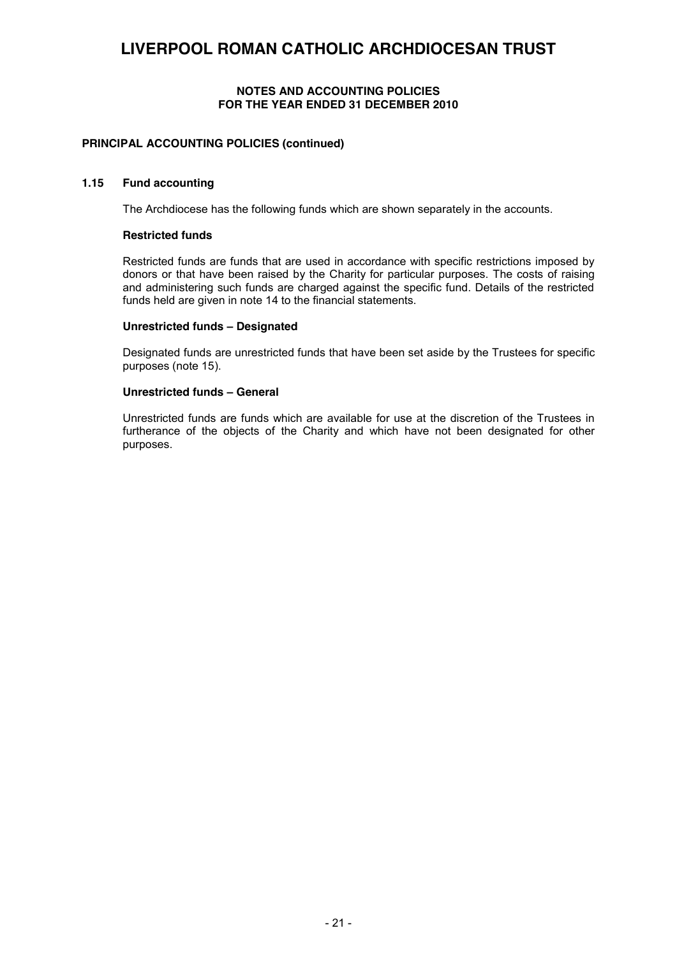#### **NOTES AND ACCOUNTING POLICIES FOR THE YEAR ENDED 31 DECEMBER 2010**

#### **PRINCIPAL ACCOUNTING POLICIES (continued)**

#### **1.15 Fund accounting**

The Archdiocese has the following funds which are shown separately in the accounts.

#### **Restricted funds**

Restricted funds are funds that are used in accordance with specific restrictions imposed by donors or that have been raised by the Charity for particular purposes. The costs of raising and administering such funds are charged against the specific fund. Details of the restricted funds held are given in note 14 to the financial statements.

#### **Unrestricted funds – Designated**

Designated funds are unrestricted funds that have been set aside by the Trustees for specific purposes (note 15).

#### **Unrestricted funds – General**

Unrestricted funds are funds which are available for use at the discretion of the Trustees in furtherance of the objects of the Charity and which have not been designated for other purposes.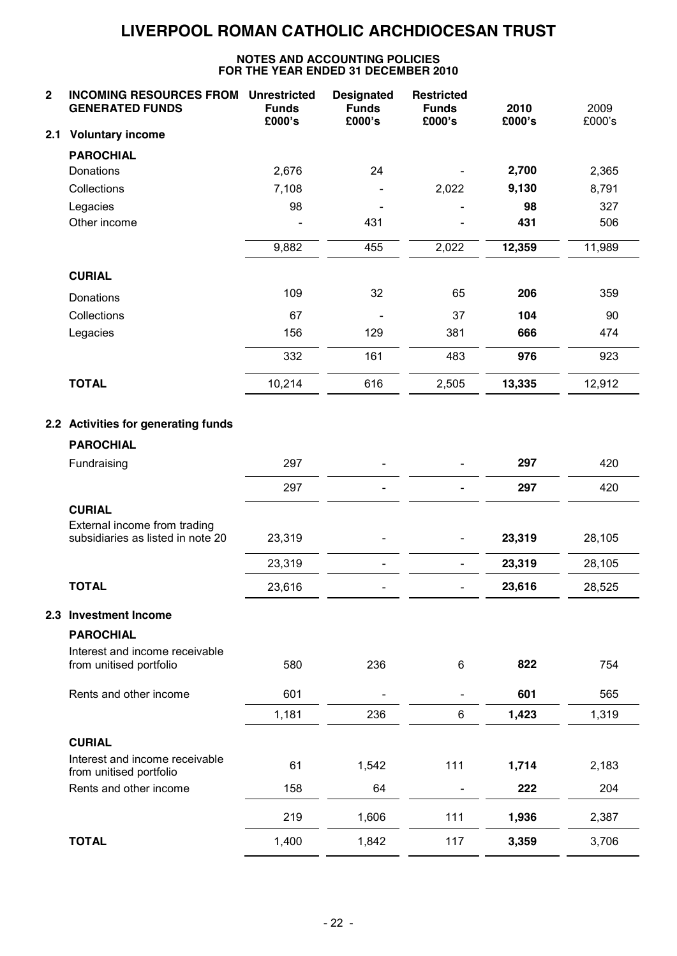| 2   | <b>INCOMING RESOURCES FROM</b><br><b>GENERATED FUNDS</b>          | <b>Unrestricted</b><br><b>Funds</b><br>£000's | <b>Designated</b><br><b>Funds</b><br>£000's | <b>Restricted</b><br><b>Funds</b><br>£000's | 2010<br>£000's | 2009<br>£000's |
|-----|-------------------------------------------------------------------|-----------------------------------------------|---------------------------------------------|---------------------------------------------|----------------|----------------|
| 2.1 | <b>Voluntary income</b>                                           |                                               |                                             |                                             |                |                |
|     | <b>PAROCHIAL</b>                                                  |                                               |                                             |                                             |                |                |
|     | Donations                                                         | 2,676                                         | 24                                          |                                             | 2,700          | 2,365          |
|     | Collections                                                       | 7,108                                         |                                             | 2,022                                       | 9,130          | 8,791          |
|     | Legacies                                                          | 98                                            |                                             |                                             | 98             | 327            |
|     | Other income                                                      |                                               | 431                                         |                                             | 431            | 506            |
|     |                                                                   | 9,882                                         | 455                                         | 2,022                                       | 12,359         | 11,989         |
|     | <b>CURIAL</b>                                                     |                                               |                                             |                                             |                |                |
|     | Donations                                                         | 109                                           | 32                                          | 65                                          | 206            | 359            |
|     | Collections                                                       | 67                                            |                                             | 37                                          | 104            | 90             |
|     | Legacies                                                          | 156                                           | 129                                         | 381                                         | 666            | 474            |
|     |                                                                   | 332                                           | 161                                         | 483                                         | 976            | 923            |
|     | <b>TOTAL</b>                                                      | 10,214                                        | 616                                         | 2,505                                       | 13,335         | 12,912         |
|     | 2.2 Activities for generating funds                               |                                               |                                             |                                             |                |                |
|     | <b>PAROCHIAL</b>                                                  |                                               |                                             |                                             |                |                |
|     | Fundraising                                                       | 297                                           |                                             |                                             | 297            | 420            |
|     |                                                                   | 297                                           |                                             |                                             | 297            | 420            |
|     | <b>CURIAL</b>                                                     |                                               |                                             |                                             |                |                |
|     | External income from trading<br>subsidiaries as listed in note 20 | 23,319                                        |                                             |                                             | 23,319         | 28,105         |
|     |                                                                   | 23,319                                        |                                             |                                             | 23,319         | 28,105         |
|     | <b>TOTAL</b>                                                      | 23,616                                        |                                             |                                             | 23,616         | 28,525         |
| 2.3 | <b>Investment Income</b>                                          |                                               |                                             |                                             |                |                |
|     | <b>PAROCHIAL</b>                                                  |                                               |                                             |                                             |                |                |
|     | Interest and income receivable<br>from unitised portfolio         | 580                                           | 236                                         | 6                                           | 822            | 754            |
|     | Rents and other income                                            | 601                                           |                                             |                                             | 601            | 565            |
|     |                                                                   | 1,181                                         | 236                                         | 6                                           | 1,423          | 1,319          |
|     | <b>CURIAL</b>                                                     |                                               |                                             |                                             |                |                |
|     | Interest and income receivable<br>from unitised portfolio         | 61                                            | 1,542                                       | 111                                         | 1,714          | 2,183          |
|     | Rents and other income                                            | 158                                           | 64                                          |                                             | 222            | 204            |
|     |                                                                   | 219                                           | 1,606                                       | 111                                         | 1,936          | 2,387          |
|     | <b>TOTAL</b>                                                      | 1,400                                         | 1,842                                       | 117                                         | 3,359          | 3,706          |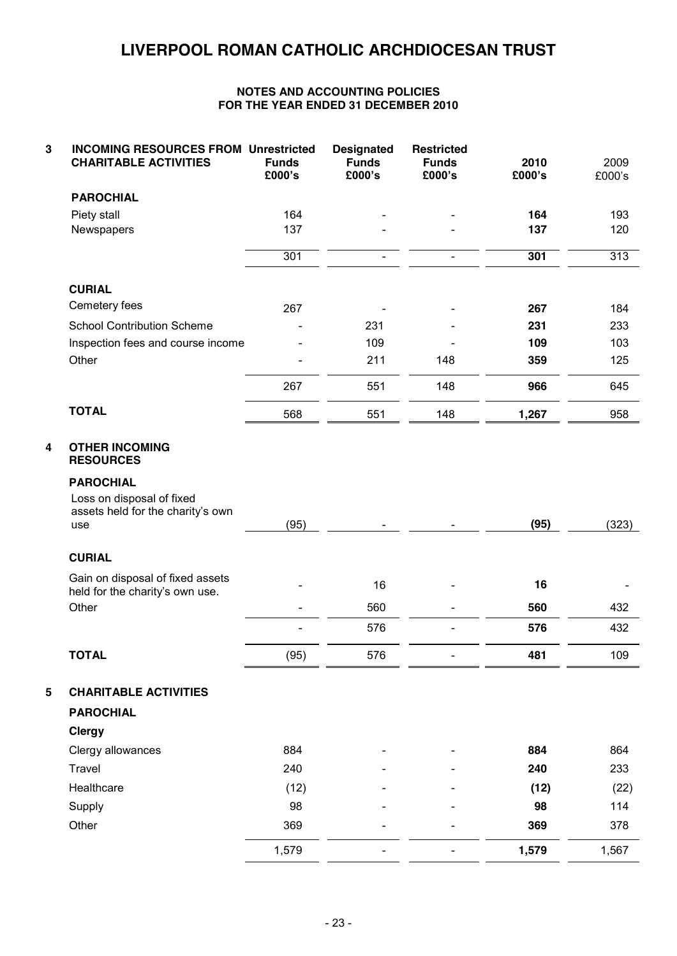| 3 | <b>INCOMING RESOURCES FROM Unrestricted</b><br><b>CHARITABLE ACTIVITIES</b>               | <b>Funds</b><br>£000's | <b>Designated</b><br><b>Funds</b><br>£000's | <b>Restricted</b><br><b>Funds</b><br>£000's | 2010<br>£000's | 2009<br>£000's |
|---|-------------------------------------------------------------------------------------------|------------------------|---------------------------------------------|---------------------------------------------|----------------|----------------|
|   | <b>PAROCHIAL</b>                                                                          |                        |                                             |                                             |                |                |
|   | Piety stall                                                                               | 164                    |                                             |                                             | 164            | 193            |
|   | Newspapers                                                                                | 137                    |                                             |                                             | 137            | 120            |
|   |                                                                                           | 301                    |                                             |                                             | 301            | 313            |
|   | <b>CURIAL</b>                                                                             |                        |                                             |                                             |                |                |
|   | Cemetery fees                                                                             | 267                    |                                             | $\overline{a}$                              | 267            | 184            |
|   | <b>School Contribution Scheme</b>                                                         |                        | 231                                         |                                             | 231            | 233            |
|   | Inspection fees and course income                                                         |                        | 109                                         |                                             | 109            | 103            |
|   | Other                                                                                     |                        | 211                                         | 148                                         | 359            | 125            |
|   |                                                                                           | 267                    | 551                                         | 148                                         | 966            | 645            |
|   | <b>TOTAL</b>                                                                              | 568                    | 551                                         | 148                                         | 1,267          | 958            |
| 4 | <b>OTHER INCOMING</b><br><b>RESOURCES</b>                                                 |                        |                                             |                                             |                |                |
|   | <b>PAROCHIAL</b><br>Loss on disposal of fixed<br>assets held for the charity's own<br>use | (95)                   |                                             |                                             | (95)           | (323)          |
|   | <b>CURIAL</b>                                                                             |                        |                                             |                                             |                |                |
|   | Gain on disposal of fixed assets<br>held for the charity's own use.                       |                        | 16                                          |                                             | 16             |                |
|   | Other                                                                                     |                        | 560                                         | $\overline{a}$                              | 560            | 432            |
|   |                                                                                           |                        | 576                                         |                                             | 576            | 432            |
|   | TOTAL                                                                                     | (95)                   | 576                                         |                                             | 481            | 109            |
| 5 | <b>CHARITABLE ACTIVITIES</b><br><b>PAROCHIAL</b><br><b>Clergy</b>                         |                        |                                             |                                             |                |                |
|   | Clergy allowances                                                                         | 884                    |                                             |                                             | 884            | 864            |
|   | Travel                                                                                    | 240                    |                                             |                                             | 240            | 233            |
|   | Healthcare                                                                                | (12)                   |                                             |                                             | (12)           | (22)           |
|   | Supply                                                                                    | 98                     |                                             |                                             | 98             | 114            |
|   | Other                                                                                     | 369                    |                                             |                                             | 369            | 378            |
|   |                                                                                           | 1,579                  |                                             |                                             | 1,579          | 1,567          |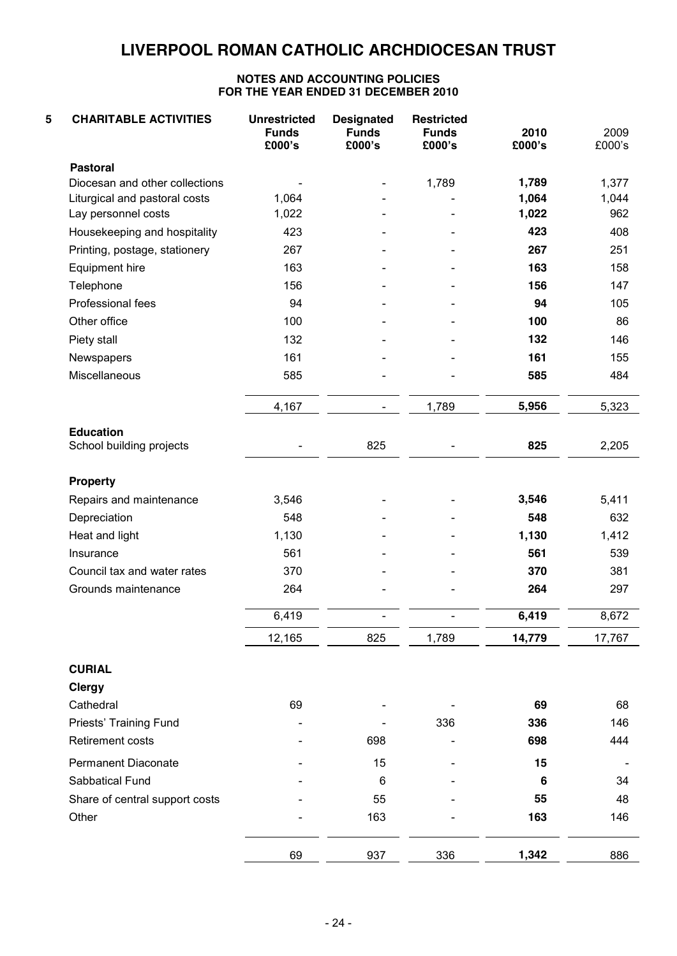| 5<br><b>CHARITABLE ACTIVITIES</b>            | <b>Unrestricted</b><br><b>Funds</b><br>£000's | <b>Designated</b><br><b>Funds</b><br>£000's | <b>Restricted</b><br><b>Funds</b><br>£000's | 2010<br>£000's | 2009<br>£000's |
|----------------------------------------------|-----------------------------------------------|---------------------------------------------|---------------------------------------------|----------------|----------------|
| <b>Pastoral</b>                              |                                               |                                             |                                             |                |                |
| Diocesan and other collections               |                                               |                                             | 1,789                                       | 1,789          | 1,377          |
| Liturgical and pastoral costs                | 1,064                                         |                                             |                                             | 1,064          | 1,044          |
| Lay personnel costs                          | 1,022                                         |                                             |                                             | 1,022          | 962            |
| Housekeeping and hospitality                 | 423                                           |                                             |                                             | 423            | 408            |
| Printing, postage, stationery                | 267                                           |                                             |                                             | 267            | 251            |
| Equipment hire                               | 163                                           |                                             |                                             | 163            | 158            |
| Telephone                                    | 156                                           |                                             |                                             | 156            | 147            |
| Professional fees                            | 94                                            |                                             |                                             | 94             | 105            |
| Other office                                 | 100                                           |                                             |                                             | 100            | 86             |
| Piety stall                                  | 132                                           |                                             |                                             | 132            | 146            |
| Newspapers                                   | 161                                           |                                             |                                             | 161            | 155            |
| Miscellaneous                                | 585                                           |                                             |                                             | 585            | 484            |
|                                              | 4,167                                         |                                             | 1,789                                       | 5,956          | 5,323          |
| <b>Education</b><br>School building projects |                                               | 825                                         |                                             | 825            | 2,205          |
| <b>Property</b>                              |                                               |                                             |                                             |                |                |
| Repairs and maintenance                      | 3,546                                         |                                             |                                             | 3,546          | 5,411          |
| Depreciation                                 | 548                                           |                                             |                                             | 548            | 632            |
| Heat and light                               | 1,130                                         |                                             |                                             | 1,130          | 1,412          |
| Insurance                                    | 561                                           |                                             |                                             | 561            | 539            |
| Council tax and water rates                  | 370                                           |                                             |                                             | 370            | 381            |
| Grounds maintenance                          | 264                                           |                                             |                                             | 264            | 297            |
|                                              | 6,419                                         |                                             |                                             | 6,419          | 8,672          |
|                                              | 12,165                                        | 825                                         | 1,789                                       | 14,779         | 17,767         |
| <b>CURIAL</b>                                |                                               |                                             |                                             |                |                |
| <b>Clergy</b>                                |                                               |                                             |                                             |                |                |
| Cathedral                                    | 69                                            |                                             |                                             | 69             | 68             |
| Priests' Training Fund                       |                                               |                                             | 336                                         | 336            | 146            |
| <b>Retirement costs</b>                      |                                               | 698                                         |                                             | 698            | 444            |
| Permanent Diaconate                          |                                               | 15                                          |                                             | 15             |                |
| Sabbatical Fund                              |                                               | 6                                           |                                             | 6              | 34             |
| Share of central support costs               |                                               | 55                                          |                                             | 55             | 48             |
| Other                                        |                                               | 163                                         |                                             | 163            | 146            |
|                                              | 69                                            | 937                                         | 336                                         | 1,342          | 886            |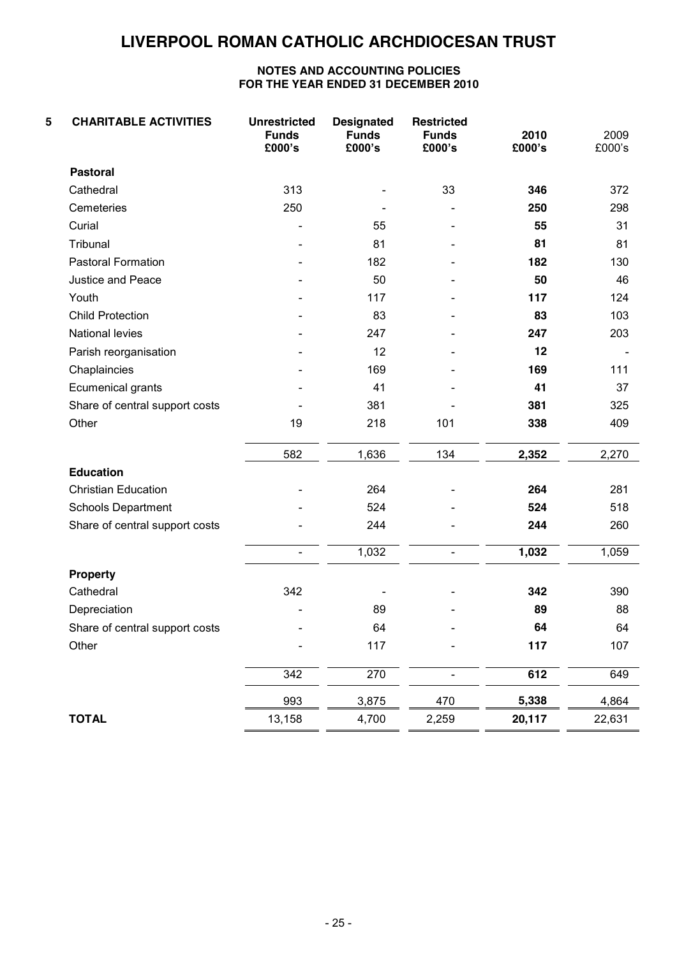| 5 | <b>CHARITABLE ACTIVITIES</b>   | <b>Unrestricted</b><br><b>Funds</b><br>£000's | <b>Designated</b><br><b>Funds</b><br>£000's | <b>Restricted</b><br><b>Funds</b><br>£000's | 2010<br>£000's | 2009<br>£000's |
|---|--------------------------------|-----------------------------------------------|---------------------------------------------|---------------------------------------------|----------------|----------------|
|   | <b>Pastoral</b>                |                                               |                                             |                                             |                |                |
|   | Cathedral                      | 313                                           |                                             | 33                                          | 346            | 372            |
|   | Cemeteries                     | 250                                           |                                             |                                             | 250            | 298            |
|   | Curial                         |                                               | 55                                          |                                             | 55             | 31             |
|   | Tribunal                       |                                               | 81                                          |                                             | 81             | 81             |
|   | Pastoral Formation             |                                               | 182                                         |                                             | 182            | 130            |
|   | Justice and Peace              |                                               | 50                                          |                                             | 50             | 46             |
|   | Youth                          |                                               | 117                                         |                                             | 117            | 124            |
|   | <b>Child Protection</b>        |                                               | 83                                          |                                             | 83             | 103            |
|   | National levies                |                                               | 247                                         |                                             | 247            | 203            |
|   | Parish reorganisation          |                                               | 12                                          |                                             | 12             |                |
|   | Chaplaincies                   |                                               | 169                                         |                                             | 169            | 111            |
|   | Ecumenical grants              |                                               | 41                                          |                                             | 41             | 37             |
|   | Share of central support costs |                                               | 381                                         |                                             | 381            | 325            |
|   | Other                          | 19                                            | 218                                         | 101                                         | 338            | 409            |
|   |                                | 582                                           | 1,636                                       | 134                                         | 2,352          | 2,270          |
|   | <b>Education</b>               |                                               |                                             |                                             |                |                |
|   | <b>Christian Education</b>     |                                               | 264                                         |                                             | 264            | 281            |
|   | <b>Schools Department</b>      |                                               | 524                                         |                                             | 524            | 518            |
|   | Share of central support costs |                                               | 244                                         |                                             | 244            | 260            |
|   |                                | $\overline{\phantom{0}}$                      | 1,032                                       | $\overline{\phantom{0}}$                    | 1,032          | 1,059          |
|   | <b>Property</b>                |                                               |                                             |                                             |                |                |
|   | Cathedral                      | 342                                           |                                             |                                             | 342            | 390            |
|   | Depreciation                   |                                               | 89                                          |                                             | 89             | 88             |
|   | Share of central support costs |                                               | 64                                          |                                             | 64             | 64             |
|   | Other                          |                                               | 117                                         |                                             | 117            | 107            |
|   |                                | 342                                           | 270                                         |                                             | 612            | 649            |
|   |                                | 993                                           | 3,875                                       | 470                                         | 5,338          | 4,864          |
|   | <b>TOTAL</b>                   | 13,158                                        | 4,700                                       | 2,259                                       | 20,117         | 22,631         |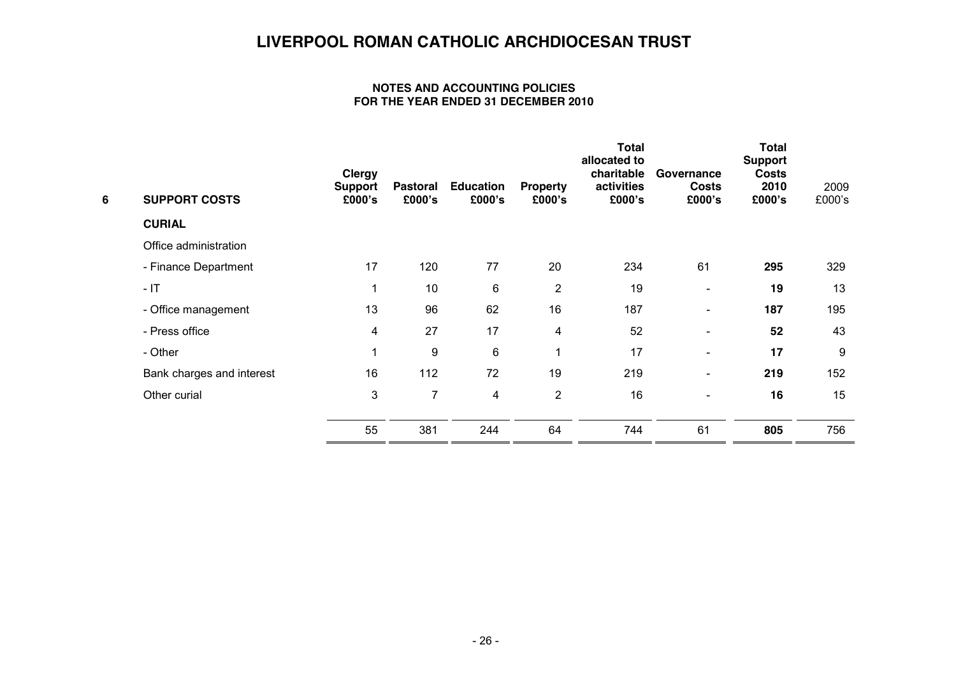| 6 | <b>SUPPORT COSTS</b>      | <b>Clergy</b><br><b>Support</b><br>£000's | Pastoral<br>£000's | <b>Education</b><br>£000's | <b>Property</b><br>£000's | <b>Total</b><br>allocated to<br>charitable<br>activities<br>£000's | Governance<br><b>Costs</b><br>£000's | <b>Total</b><br><b>Support</b><br><b>Costs</b><br>2010<br>£000's | 2009<br>£000's |
|---|---------------------------|-------------------------------------------|--------------------|----------------------------|---------------------------|--------------------------------------------------------------------|--------------------------------------|------------------------------------------------------------------|----------------|
|   | <b>CURIAL</b>             |                                           |                    |                            |                           |                                                                    |                                      |                                                                  |                |
|   | Office administration     |                                           |                    |                            |                           |                                                                    |                                      |                                                                  |                |
|   | - Finance Department      | 17                                        | 120                | 77                         | 20                        | 234                                                                | 61                                   | 295                                                              | 329            |
|   | $-1T$                     | $\mathbf{1}$                              | 10                 | 6                          | $\overline{2}$            | 19                                                                 | $\overline{\phantom{a}}$             | 19                                                               | 13             |
|   | - Office management       | 13                                        | 96                 | 62                         | 16                        | 187                                                                | $\overline{\phantom{a}}$             | 187                                                              | 195            |
|   | - Press office            | 4                                         | 27                 | 17                         | 4                         | 52                                                                 | $\overline{\phantom{a}}$             | 52                                                               | 43             |
|   | - Other                   | 1                                         | 9                  | 6                          | 1                         | 17                                                                 | $\overline{\phantom{a}}$             | 17                                                               | 9              |
|   | Bank charges and interest | 16                                        | 112                | 72                         | 19                        | 219                                                                | $\overline{\phantom{a}}$             | 219                                                              | 152            |
|   | Other curial              | 3                                         | 7                  | 4                          | $\overline{2}$            | 16                                                                 | $\overline{\phantom{a}}$             | 16                                                               | 15             |
|   |                           | 55                                        | 381                | 244                        | 64                        | 744                                                                | 61                                   | 805                                                              | 756            |
|   |                           |                                           |                    |                            |                           |                                                                    |                                      |                                                                  |                |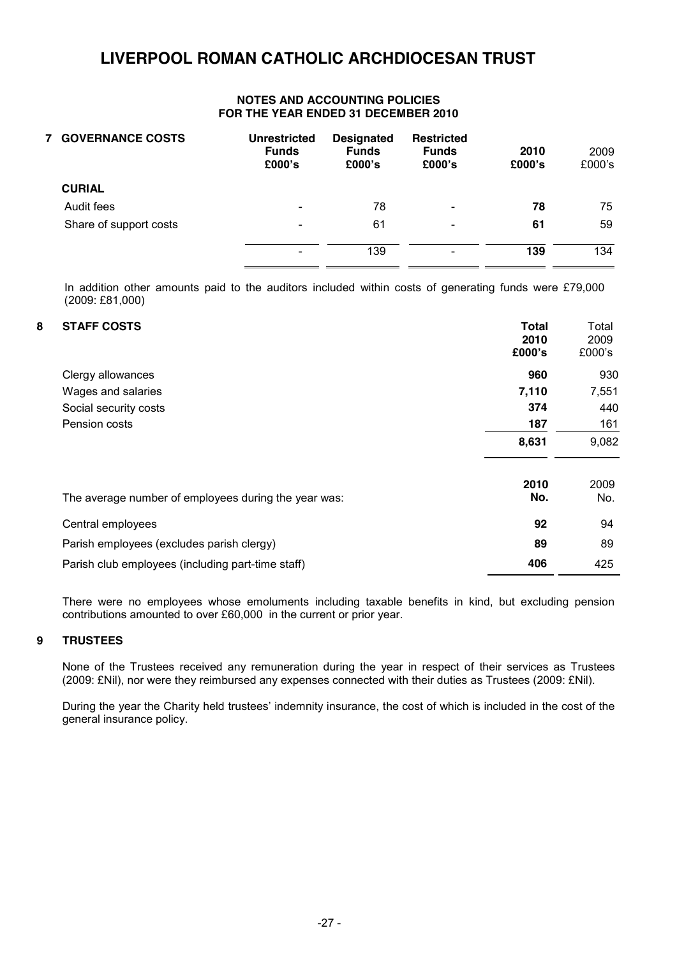#### **NOTES AND ACCOUNTING POLICIES FOR THE YEAR ENDED 31 DECEMBER 2010**

| <b>7 GOVERNANCE COSTS</b> | <b>Unrestricted</b><br><b>Funds</b><br>£000's | <b>Designated</b><br><b>Funds</b><br>£000's | <b>Restricted</b><br><b>Funds</b><br>£000's | 2010<br>£000's | 2009<br>£000's |
|---------------------------|-----------------------------------------------|---------------------------------------------|---------------------------------------------|----------------|----------------|
| <b>CURIAL</b>             |                                               |                                             |                                             |                |                |
| Audit fees                | $\overline{\phantom{a}}$                      | 78                                          | $\overline{\phantom{a}}$                    | 78             | 75             |
| Share of support costs    | $\overline{\phantom{a}}$                      | 61                                          | $\blacksquare$                              | 61             | 59             |
|                           | $\overline{\phantom{a}}$                      | 139                                         | $\blacksquare$                              | 139            | 134            |

In addition other amounts paid to the auditors included within costs of generating funds were £79,000 (2009: £81,000)

#### **8 STAFF COSTS Total**

| <b>STAFF COSTS</b>                                   | <b>Total</b><br>2010 | Total<br>2009 |
|------------------------------------------------------|----------------------|---------------|
|                                                      | £000's               | £000's        |
| Clergy allowances                                    | 960                  | 930           |
| Wages and salaries                                   | 7,110                | 7,551         |
| Social security costs                                | 374                  | 440           |
| Pension costs                                        | 187                  | 161           |
|                                                      | 8,631                | 9,082         |
| The average number of employees during the year was: | 2010<br>No.          | 2009<br>No.   |
| Central employees                                    | 92                   | 94            |
| Parish employees (excludes parish clergy)            | 89                   | 89            |
| Parish club employees (including part-time staff)    | 406                  | 425           |

There were no employees whose emoluments including taxable benefits in kind, but excluding pension contributions amounted to over £60,000 in the current or prior year.

#### **9 TRUSTEES**

None of the Trustees received any remuneration during the year in respect of their services as Trustees (2009: £Nil), nor were they reimbursed any expenses connected with their duties as Trustees (2009: £Nil).

During the year the Charity held trustees' indemnity insurance, the cost of which is included in the cost of the general insurance policy.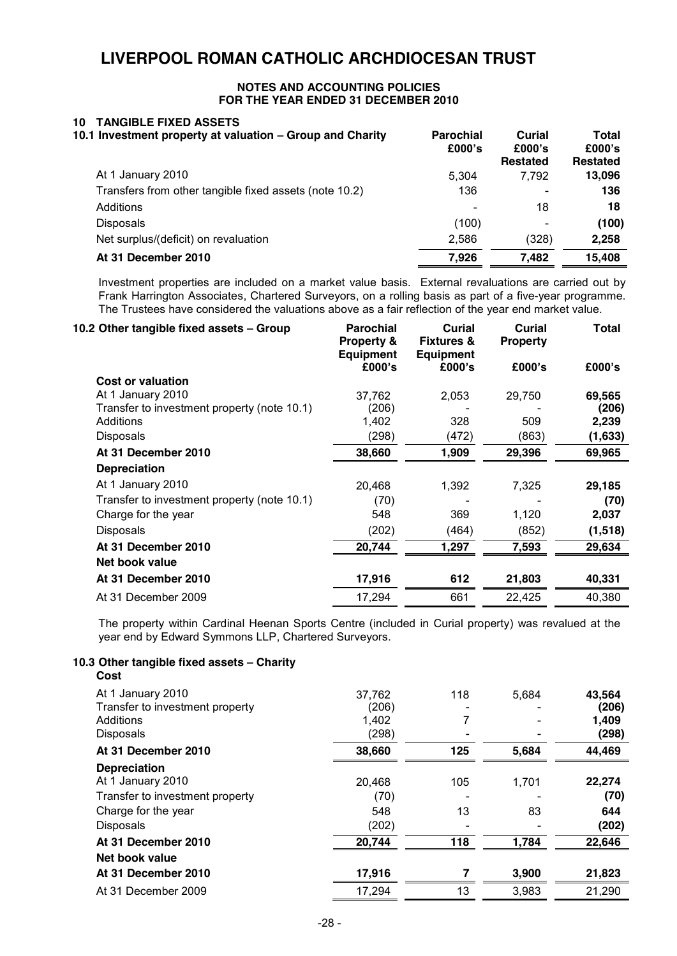#### **NOTES AND ACCOUNTING POLICIES FOR THE YEAR ENDED 31 DECEMBER 2010**

# **10 TANGIBLE FIXED ASSETS**

| 10.1 Investment property at valuation - Group and Charity | <b>Parochial</b><br>£000's | Curial<br>£000's<br><b>Restated</b> | <b>Total</b><br>£000's<br><b>Restated</b> |
|-----------------------------------------------------------|----------------------------|-------------------------------------|-------------------------------------------|
| At 1 January 2010                                         | 5.304                      | 7.792                               | 13,096                                    |
| Transfers from other tangible fixed assets (note 10.2)    | 136                        | $\overline{\phantom{0}}$            | 136                                       |
| Additions                                                 |                            | 18                                  | 18                                        |
| <b>Disposals</b>                                          | (100)                      | $\overline{\phantom{0}}$            | (100)                                     |
| Net surplus/(deficit) on revaluation                      | 2.586                      | (328)                               | 2,258                                     |
| At 31 December 2010                                       | 7.926                      | 7.482                               | 15,408                                    |

Investment properties are included on a market value basis. External revaluations are carried out by Frank Harrington Associates, Chartered Surveyors, on a rolling basis as part of a five-year programme. The Trustees have considered the valuations above as a fair reflection of the year end market value.

| 10.2 Other tangible fixed assets - Group    | <b>Parochial</b><br>Property &<br><b>Equipment</b> | Curial<br><b>Fixtures &amp;</b><br><b>Equipment</b> | Curial<br><b>Property</b> | <b>Total</b> |
|---------------------------------------------|----------------------------------------------------|-----------------------------------------------------|---------------------------|--------------|
|                                             | £000's                                             | £000's                                              | £000's                    | £000's       |
| Cost or valuation                           |                                                    |                                                     |                           |              |
| At 1 January 2010                           | 37,762                                             | 2,053                                               | 29,750                    | 69,565       |
| Transfer to investment property (note 10.1) | (206)                                              |                                                     |                           | (206)        |
| Additions                                   | 1,402                                              | 328                                                 | 509                       | 2,239        |
| Disposals                                   | (298)                                              | (472)                                               | (863)                     | (1,633)      |
| At 31 December 2010                         | 38,660                                             | 1,909                                               | 29,396                    | 69,965       |
| <b>Depreciation</b>                         |                                                    |                                                     |                           |              |
| At 1 January 2010                           | 20,468                                             | 1,392                                               | 7,325                     | 29,185       |
| Transfer to investment property (note 10.1) | (70)                                               |                                                     |                           | (70)         |
| Charge for the year                         | 548                                                | 369                                                 | 1,120                     | 2,037        |
| Disposals                                   | (202)                                              | (464)                                               | (852)                     | (1, 518)     |
| At 31 December 2010                         | 20,744                                             | 1,297                                               | 7,593                     | 29,634       |
| Net book value                              |                                                    |                                                     |                           |              |
| At 31 December 2010                         | 17,916                                             | 612                                                 | 21,803                    | 40,331       |
| At 31 December 2009                         | 17,294                                             | 661                                                 | 22,425                    | 40,380       |
|                                             |                                                    |                                                     |                           |              |

The property within Cardinal Heenan Sports Centre (included in Curial property) was revalued at the year end by Edward Symmons LLP, Chartered Surveyors.

#### **10.3 Other tangible fixed assets – Charity Cost**

| ---                             |        |     |       |        |
|---------------------------------|--------|-----|-------|--------|
| At 1 January 2010               | 37,762 | 118 | 5,684 | 43,564 |
| Transfer to investment property | (206)  |     |       | (206)  |
| Additions                       | 1,402  |     |       | 1,409  |
| Disposals                       | (298)  |     |       | (298)  |
| At 31 December 2010             | 38,660 | 125 | 5,684 | 44,469 |
| <b>Depreciation</b>             |        |     |       |        |
| At 1 January 2010               | 20,468 | 105 | 1,701 | 22,274 |
| Transfer to investment property | (70)   |     |       | (70)   |
| Charge for the year             | 548    | 13  | 83    | 644    |
| <b>Disposals</b>                | (202)  |     |       | (202)  |
| At 31 December 2010             | 20,744 | 118 | 1,784 | 22,646 |
| Net book value                  |        |     |       |        |
| At 31 December 2010             | 17,916 |     | 3,900 | 21,823 |
| At 31 December 2009             | 17,294 | 13  | 3,983 | 21,290 |
|                                 |        |     |       |        |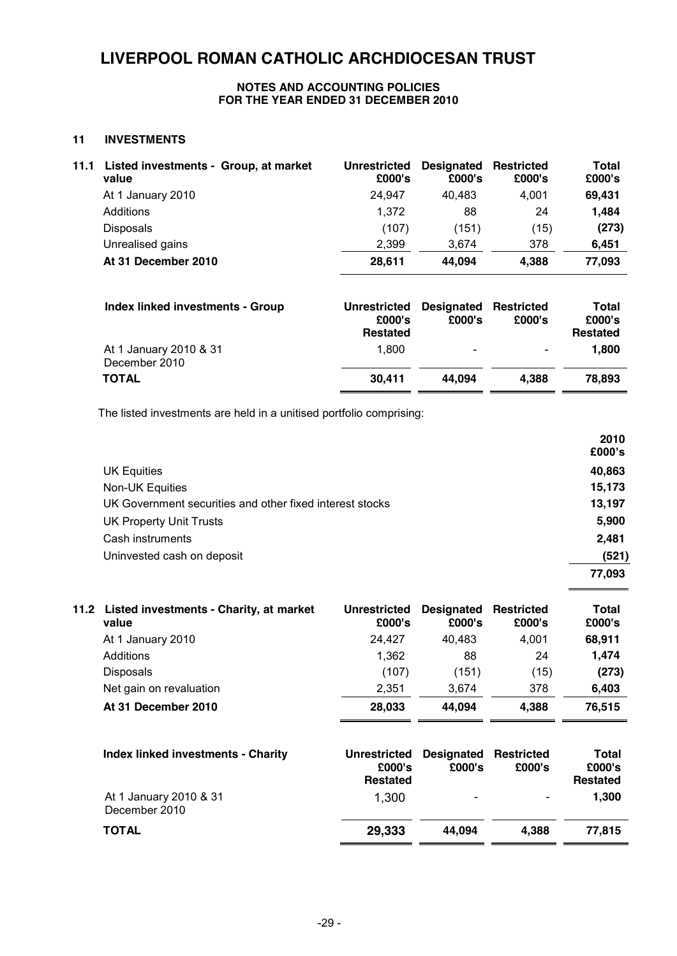#### **NOTES AND ACCOUNTING POLICIES FOR THE YEAR ENDED 31 DECEMBER 2010**

#### **11 INVESTMENTS**

| 11.1 | Listed investments - Group, at market<br>value | <b>Unrestricted</b><br>£000's | Designated<br>£000's | <b>Restricted</b><br>£000's | Total<br>£000's |
|------|------------------------------------------------|-------------------------------|----------------------|-----------------------------|-----------------|
|      | At 1 January 2010                              | 24,947                        | 40,483               | 4.001                       | 69,431          |
|      | Additions                                      | 1,372                         | 88                   | 24                          | 1,484           |
|      | <b>Disposals</b>                               | (107)                         | (151)                | (15)                        | (273)           |
|      | Unrealised gains                               | 2.399                         | 3.674                | 378                         | 6,451           |
|      | At 31 December 2010                            | 28,611                        | 44,094               | 4.388                       | 77,093          |

| Index linked investments - Group        | <b>Unrestricted</b><br>£000's<br><b>Restated</b> | <b>Designated Restricted</b><br>£000's | £000's | Total<br>£000's<br><b>Restated</b> |
|-----------------------------------------|--------------------------------------------------|----------------------------------------|--------|------------------------------------|
| At 1 January 2010 & 31<br>December 2010 | 1.800                                            | $\overline{\phantom{0}}$               |        | 1.800                              |
| <b>TOTAL</b>                            | 30,411                                           | 44.094                                 | 4.388  | 78.893                             |

The listed investments are held in a unitised portfolio comprising:

|                                                          | 2010<br>£000's |
|----------------------------------------------------------|----------------|
| <b>UK Equities</b>                                       | 40,863         |
| Non-UK Equities                                          | 15,173         |
| UK Government securities and other fixed interest stocks | 13,197         |
| <b>UK Property Unit Trusts</b>                           | 5,900          |
| Cash instruments                                         | 2,481          |
| Uninvested cash on deposit                               | (521)          |
|                                                          | 77,093         |
|                                                          |                |

| 11.2 Listed investments - Charity, at market<br>value | <b>Unrestricted</b><br>£000's | <b>Designated Restricted</b><br>£000's | £000's | Total<br>£000's |
|-------------------------------------------------------|-------------------------------|----------------------------------------|--------|-----------------|
| At 1 January 2010                                     | 24.427                        | 40.483                                 | 4.001  | 68,911          |
| Additions                                             | 1,362                         | 88                                     | 24     | 1.474           |
| <b>Disposals</b>                                      | (107)                         | (151)                                  | (15)   | (273)           |
| Net gain on revaluation                               | 2.351                         | 3.674                                  | 378    | 6.403           |
| At 31 December 2010                                   | 28,033                        | 44.094                                 | 4,388  | 76,515          |

| <b>Index linked investments - Charity</b> | <b>Unrestricted</b><br>£000's<br><b>Restated</b> | <b>Designated Restricted</b><br>£000's | £000's                   | Total<br>£000's<br><b>Restated</b> |
|-------------------------------------------|--------------------------------------------------|----------------------------------------|--------------------------|------------------------------------|
| At 1 January 2010 & 31<br>December 2010   | 1.300                                            | $\overline{\phantom{a}}$               | $\overline{\phantom{a}}$ | 1,300                              |
| <b>TOTAL</b>                              | 29,333                                           | 44.094                                 | 4.388                    | 77.815                             |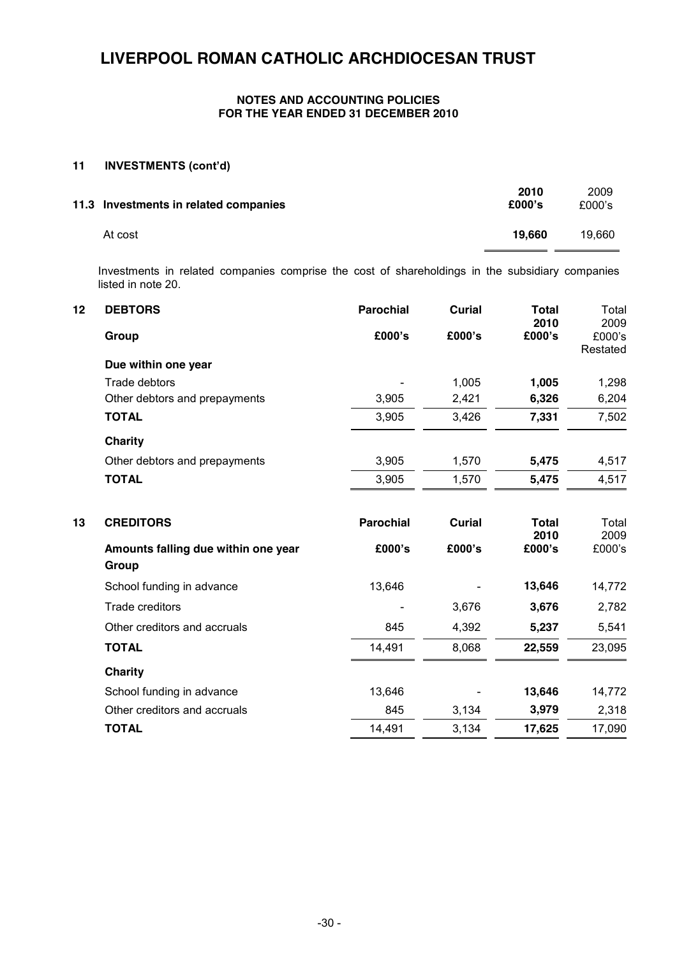#### **NOTES AND ACCOUNTING POLICIES FOR THE YEAR ENDED 31 DECEMBER 2010**

### **11 INVESTMENTS (cont'd)**

| 11.3 Investments in related companies | 2010<br>£000's | 2009<br>£000's |
|---------------------------------------|----------------|----------------|
| At cost                               | 19.660         | 19.660         |

Investments in related companies comprise the cost of shareholdings in the subsidiary companies listed in note 20.

| 12 | <b>DEBTORS</b>                      | <b>Parochial</b> | <b>Curial</b> | <b>Total</b><br>2010 | Total<br>2009      |
|----|-------------------------------------|------------------|---------------|----------------------|--------------------|
|    | Group                               | £000's           | £000's        | £000's               | £000's<br>Restated |
|    | Due within one year                 |                  |               |                      |                    |
|    | Trade debtors                       |                  | 1,005         | 1,005                | 1,298              |
|    | Other debtors and prepayments       | 3,905            | 2,421         | 6,326                | 6,204              |
|    | <b>TOTAL</b>                        | 3,905            | 3,426         | 7,331                | 7,502              |
|    | <b>Charity</b>                      |                  |               |                      |                    |
|    | Other debtors and prepayments       | 3,905            | 1,570         | 5,475                | 4,517              |
|    | <b>TOTAL</b>                        | 3,905            | 1,570         | 5,475                | 4,517              |
| 13 | <b>CREDITORS</b>                    | <b>Parochial</b> | <b>Curial</b> | <b>Total</b><br>2010 | Total<br>2009      |
|    | Amounts falling due within one year | £000's           | £000's        | £000's               | £000's             |
|    | Group                               |                  |               |                      |                    |
|    | School funding in advance           | 13,646           |               | 13,646               | 14,772             |
|    | Trade creditors                     |                  | 3,676         | 3,676                | 2,782              |
|    | Other creditors and accruals        | 845              | 4,392         | 5,237                | 5,541              |
|    | <b>TOTAL</b>                        | 14,491           | 8,068         | 22,559               | 23,095             |
|    | Charity                             |                  |               |                      |                    |
|    | School funding in advance           | 13,646           |               | 13,646               | 14,772             |
|    | Other creditors and accruals        | 845              | 3,134         | 3,979                | 2,318              |
|    | <b>TOTAL</b>                        | 14,491           | 3,134         | 17,625               | 17,090             |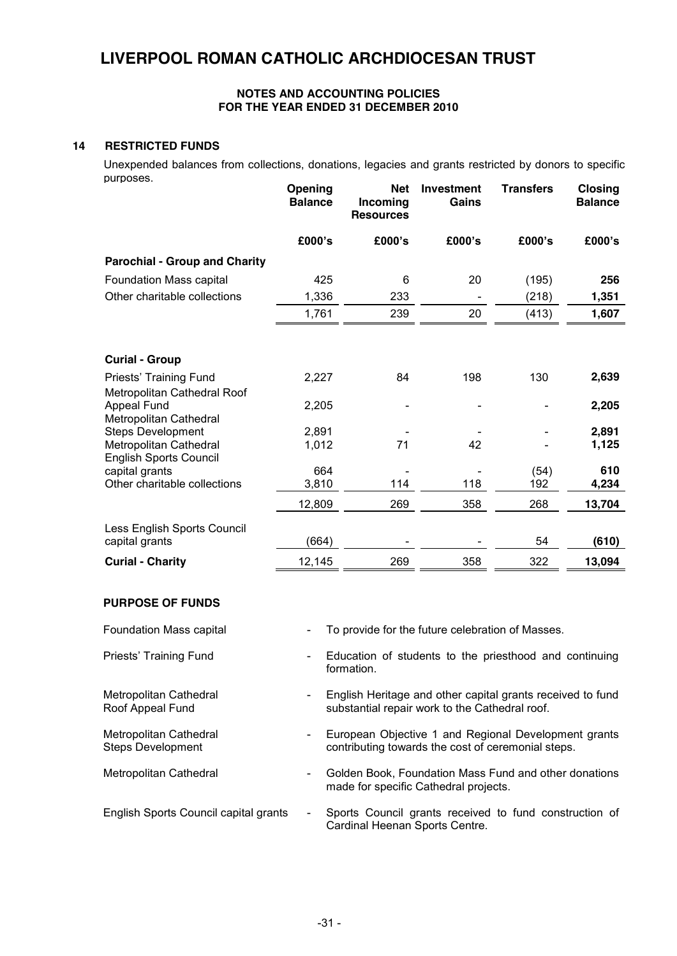#### **NOTES AND ACCOUNTING POLICIES FOR THE YEAR ENDED 31 DECEMBER 2010**

### **14 RESTRICTED FUNDS**

Unexpended balances from collections, donations, legacies and grants restricted by donors to specific purposes.

|                                                         | Opening<br><b>Balance</b> | <b>Net</b><br>Incoming<br><b>Resources</b> | <b>Investment</b><br>Gains | Transfers | <b>Closing</b><br><b>Balance</b> |
|---------------------------------------------------------|---------------------------|--------------------------------------------|----------------------------|-----------|----------------------------------|
|                                                         | £000's                    | £000's                                     | £000's                     | £000's    | £000's                           |
| <b>Parochial - Group and Charity</b>                    |                           |                                            |                            |           |                                  |
| Foundation Mass capital                                 | 425                       | 6                                          | 20                         | (195)     | 256                              |
| Other charitable collections                            | 1,336                     | 233                                        |                            | (218)     | 1,351                            |
|                                                         | 1,761                     | 239                                        | 20                         | (413)     | 1,607                            |
| <b>Curial - Group</b>                                   |                           |                                            |                            |           |                                  |
| Priests' Training Fund<br>Metropolitan Cathedral Roof   | 2,227                     | 84                                         | 198                        | 130       | 2,639                            |
| <b>Appeal Fund</b><br>Metropolitan Cathedral            | 2,205                     |                                            |                            |           | 2,205                            |
| <b>Steps Development</b>                                | 2,891                     |                                            |                            |           | 2,891                            |
| Metropolitan Cathedral<br><b>English Sports Council</b> | 1,012                     | 71                                         | 42                         |           | 1,125                            |
| capital grants                                          | 664                       |                                            |                            | (54)      | 610                              |
| Other charitable collections                            | 3,810                     | 114                                        | 118                        | 192       | 4,234                            |
|                                                         | 12,809                    | 269                                        | 358                        | 268       | 13,704                           |
| Less English Sports Council<br>capital grants           | (664)                     |                                            |                            | 54        | (610)                            |
| <b>Curial - Charity</b>                                 | 12,145                    | 269                                        | 358                        | 322       | 13,094                           |
|                                                         |                           |                                            |                            |           |                                  |

#### **PURPOSE OF FUNDS**

| <b>Foundation Mass capital</b>              | $\overline{\phantom{a}}$ | To provide for the future celebration of Masses.                                                             |
|---------------------------------------------|--------------------------|--------------------------------------------------------------------------------------------------------------|
| Priests' Training Fund                      | $\blacksquare$           | Education of students to the priesthood and continuing<br>formation.                                         |
| Metropolitan Cathedral<br>Roof Appeal Fund  | $\overline{\phantom{a}}$ | English Heritage and other capital grants received to fund<br>substantial repair work to the Cathedral roof. |
| Metropolitan Cathedral<br>Steps Development | -                        | European Objective 1 and Regional Development grants<br>contributing towards the cost of ceremonial steps.   |
| Metropolitan Cathedral                      | $\overline{\phantom{0}}$ | Golden Book, Foundation Mass Fund and other donations<br>made for specific Cathedral projects.               |
| English Sports Council capital grants       | $\overline{\phantom{a}}$ | Sports Council grants received to fund construction of<br>Cardinal Heenan Sports Centre.                     |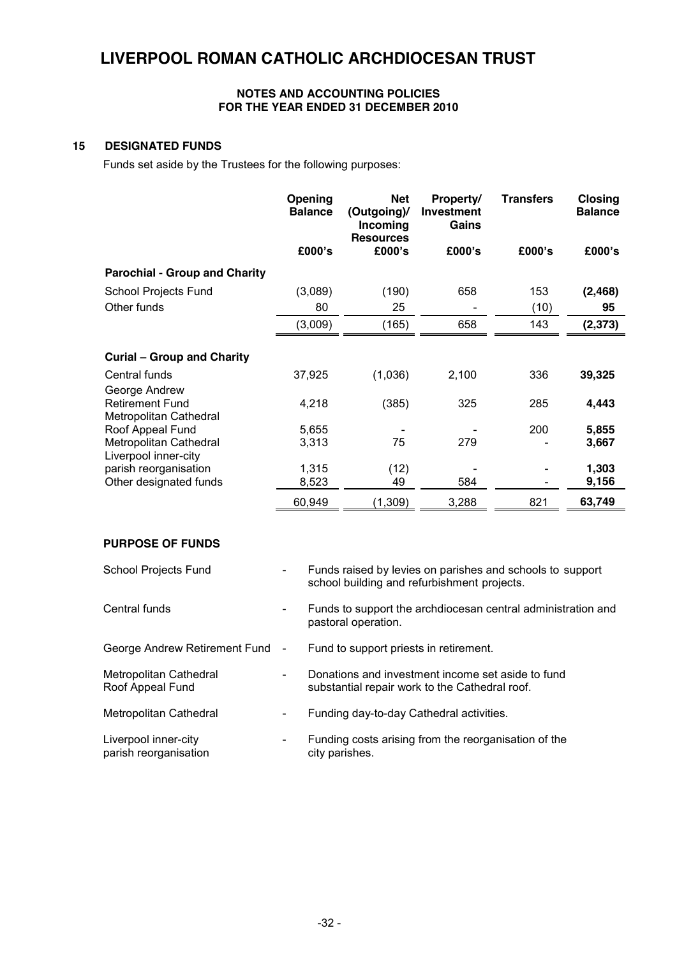#### **NOTES AND ACCOUNTING POLICIES FOR THE YEAR ENDED 31 DECEMBER 2010**

#### **15 DESIGNATED FUNDS**

Funds set aside by the Trustees for the following purposes:

|                                            | Opening<br><b>Balance</b> | <b>Net</b><br>(Outgoing)/<br>Incoming<br><b>Resources</b> | Property/<br>Investment<br>Gains | <b>Transfers</b> | Closing<br><b>Balance</b> |
|--------------------------------------------|---------------------------|-----------------------------------------------------------|----------------------------------|------------------|---------------------------|
|                                            | £000's                    | £000's                                                    | £000's                           | £000's           | £000's                    |
| <b>Parochial - Group and Charity</b>       |                           |                                                           |                                  |                  |                           |
| School Projects Fund                       | (3,089)                   | (190)                                                     | 658                              | 153              | (2, 468)                  |
| Other funds                                | 80                        | 25                                                        |                                  | (10)             | 95                        |
|                                            | (3,009)                   | (165)                                                     | 658                              | 143              | (2, 373)                  |
| <b>Curial - Group and Charity</b>          |                           |                                                           |                                  |                  |                           |
| Central funds                              | 37,925                    | (1,036)                                                   | 2,100                            | 336              | 39,325                    |
| George Andrew                              |                           |                                                           |                                  |                  |                           |
| <b>Retirement Fund</b>                     | 4,218                     | (385)                                                     | 325                              | 285              | 4,443                     |
| Metropolitan Cathedral<br>Roof Appeal Fund | 5,655                     |                                                           |                                  | 200              | 5,855                     |
| Metropolitan Cathedral                     | 3,313                     | 75                                                        | 279                              |                  | 3,667                     |
| Liverpool inner-city                       |                           |                                                           |                                  |                  |                           |
| parish reorganisation                      | 1,315                     | (12)                                                      |                                  |                  | 1,303                     |
| Other designated funds                     | 8,523                     | 49                                                        | 584                              |                  | 9,156                     |
|                                            | 60,949                    | (1,309)                                                   | 3,288                            | 821              | 63,749                    |

#### **PURPOSE OF FUNDS**

| School Projects Fund                          | $\overline{\phantom{a}}$ | Funds raised by levies on parishes and schools to support<br>school building and refurbishment projects. |
|-----------------------------------------------|--------------------------|----------------------------------------------------------------------------------------------------------|
| Central funds                                 | $\overline{\phantom{a}}$ | Funds to support the archdiocesan central administration and<br>pastoral operation.                      |
| George Andrew Retirement Fund                 | $\blacksquare$           | Fund to support priests in retirement.                                                                   |
| Metropolitan Cathedral<br>Roof Appeal Fund    | $\overline{\phantom{a}}$ | Donations and investment income set aside to fund<br>substantial repair work to the Cathedral roof.      |
| Metropolitan Cathedral                        | $\blacksquare$           | Funding day-to-day Cathedral activities.                                                                 |
| Liverpool inner-city<br>parish reorganisation | -                        | Funding costs arising from the reorganisation of the<br>city parishes.                                   |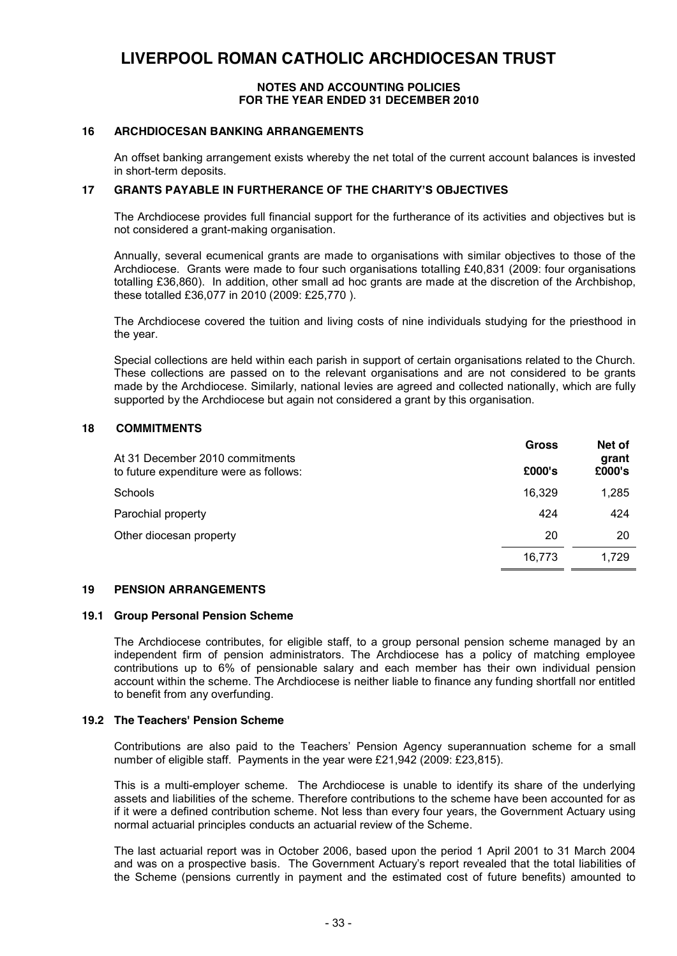#### **NOTES AND ACCOUNTING POLICIES FOR THE YEAR ENDED 31 DECEMBER 2010**

#### **16 ARCHDIOCESAN BANKING ARRANGEMENTS**

An offset banking arrangement exists whereby the net total of the current account balances is invested in short-term deposits.

#### **17 GRANTS PAYABLE IN FURTHERANCE OF THE CHARITY'S OBJECTIVES**

The Archdiocese provides full financial support for the furtherance of its activities and objectives but is not considered a grant-making organisation.

Annually, several ecumenical grants are made to organisations with similar objectives to those of the Archdiocese. Grants were made to four such organisations totalling £40,831 (2009: four organisations totalling £36,860). In addition, other small ad hoc grants are made at the discretion of the Archbishop, these totalled £36,077 in 2010 (2009: £25,770 ).

The Archdiocese covered the tuition and living costs of nine individuals studying for the priesthood in the year.

Special collections are held within each parish in support of certain organisations related to the Church. These collections are passed on to the relevant organisations and are not considered to be grants made by the Archdiocese. Similarly, national levies are agreed and collected nationally, which are fully supported by the Archdiocese but again not considered a grant by this organisation.

#### **18 COMMITMENTS**

| At 31 December 2010 commitments        | <b>Gross</b> | Net of<br>grant |
|----------------------------------------|--------------|-----------------|
| to future expenditure were as follows: | £000's       | £000's          |
| Schools                                | 16,329       | 1,285           |
| Parochial property                     | 424          | 424             |
| Other diocesan property                | 20           | 20              |
|                                        | 16.773       | 1.729           |

#### **19 PENSION ARRANGEMENTS**

#### **19.1 Group Personal Pension Scheme**

The Archdiocese contributes, for eligible staff, to a group personal pension scheme managed by an independent firm of pension administrators. The Archdiocese has a policy of matching employee contributions up to 6% of pensionable salary and each member has their own individual pension account within the scheme. The Archdiocese is neither liable to finance any funding shortfall nor entitled to benefit from any overfunding.

#### **19.2 The Teachers' Pension Scheme**

Contributions are also paid to the Teachers' Pension Agency superannuation scheme for a small number of eligible staff. Payments in the year were £21,942 (2009: £23,815).

This is a multi-employer scheme. The Archdiocese is unable to identify its share of the underlying assets and liabilities of the scheme. Therefore contributions to the scheme have been accounted for as if it were a defined contribution scheme. Not less than every four years, the Government Actuary using normal actuarial principles conducts an actuarial review of the Scheme.

The last actuarial report was in October 2006, based upon the period 1 April 2001 to 31 March 2004 and was on a prospective basis. The Government Actuary's report revealed that the total liabilities of the Scheme (pensions currently in payment and the estimated cost of future benefits) amounted to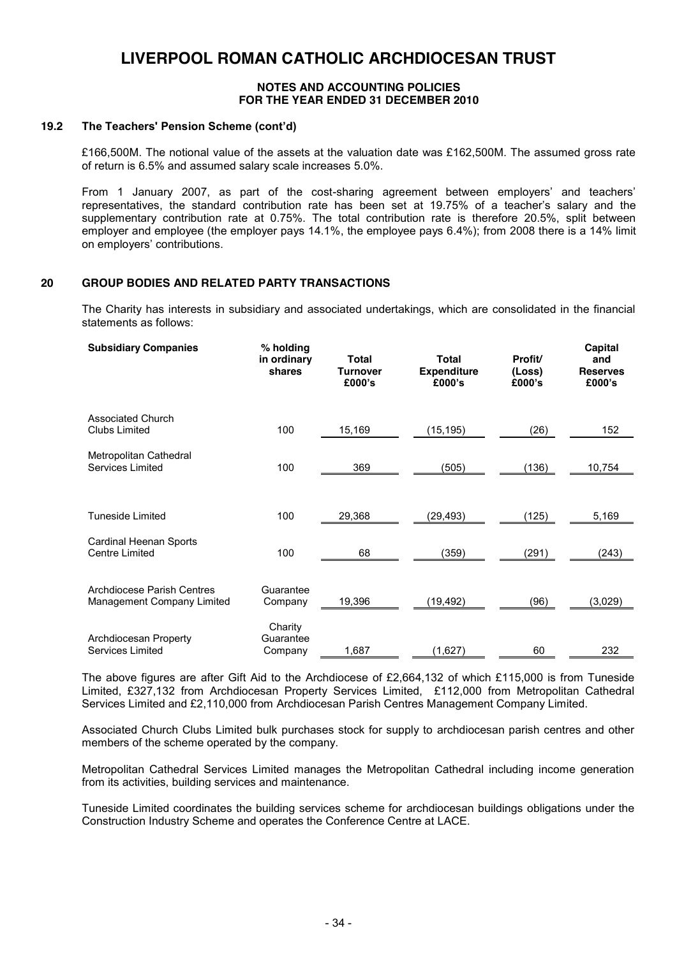#### **NOTES AND ACCOUNTING POLICIES FOR THE YEAR ENDED 31 DECEMBER 2010**

#### **19.2 The Teachers' Pension Scheme (cont'd)**

£166,500M. The notional value of the assets at the valuation date was £162,500M. The assumed gross rate of return is 6.5% and assumed salary scale increases 5.0%.

From 1 January 2007, as part of the cost-sharing agreement between employers' and teachers' representatives, the standard contribution rate has been set at 19.75% of a teacher's salary and the supplementary contribution rate at 0.75%. The total contribution rate is therefore 20.5%, split between employer and employee (the employer pays 14.1%, the employee pays 6.4%); from 2008 there is a 14% limit on employers' contributions.

#### **20 GROUP BODIES AND RELATED PARTY TRANSACTIONS**

The Charity has interests in subsidiary and associated undertakings, which are consolidated in the financial statements as follows:

| <b>Subsidiary Companies</b>                                     | % holding<br>in ordinary<br>shares | <b>Total</b><br><b>Turnover</b><br>£000's | <b>Total</b><br><b>Expenditure</b><br>£000's | Profit/<br>(Loss)<br>£000's | Capital<br>and<br><b>Reserves</b><br>£000's |
|-----------------------------------------------------------------|------------------------------------|-------------------------------------------|----------------------------------------------|-----------------------------|---------------------------------------------|
| <b>Associated Church</b><br>Clubs Limited                       | 100                                | 15,169                                    | (15, 195)                                    | (26)                        | 152                                         |
| Metropolitan Cathedral<br>Services Limited                      | 100                                | 369                                       | (505)                                        | (136)                       | 10,754                                      |
| <b>Tuneside Limited</b>                                         | 100                                | 29,368                                    | (29,493)                                     | (125)                       | 5,169                                       |
| Cardinal Heenan Sports<br><b>Centre Limited</b>                 | 100                                | 68                                        | (359)                                        | (291)                       | (243)                                       |
| <b>Archdiocese Parish Centres</b><br>Management Company Limited | Guarantee<br>Company               | 19,396                                    | (19,492)                                     | (96)                        | (3,029)                                     |
| Archdiocesan Property<br><b>Services Limited</b>                | Charity<br>Guarantee<br>Company    | 1,687                                     | (1,627)                                      | 60                          | 232                                         |

The above figures are after Gift Aid to the Archdiocese of £2,664,132 of which £115,000 is from Tuneside Limited, £327,132 from Archdiocesan Property Services Limited, £112,000 from Metropolitan Cathedral Services Limited and £2,110,000 from Archdiocesan Parish Centres Management Company Limited.

Associated Church Clubs Limited bulk purchases stock for supply to archdiocesan parish centres and other members of the scheme operated by the company.

Metropolitan Cathedral Services Limited manages the Metropolitan Cathedral including income generation from its activities, building services and maintenance.

Tuneside Limited coordinates the building services scheme for archdiocesan buildings obligations under the Construction Industry Scheme and operates the Conference Centre at LACE.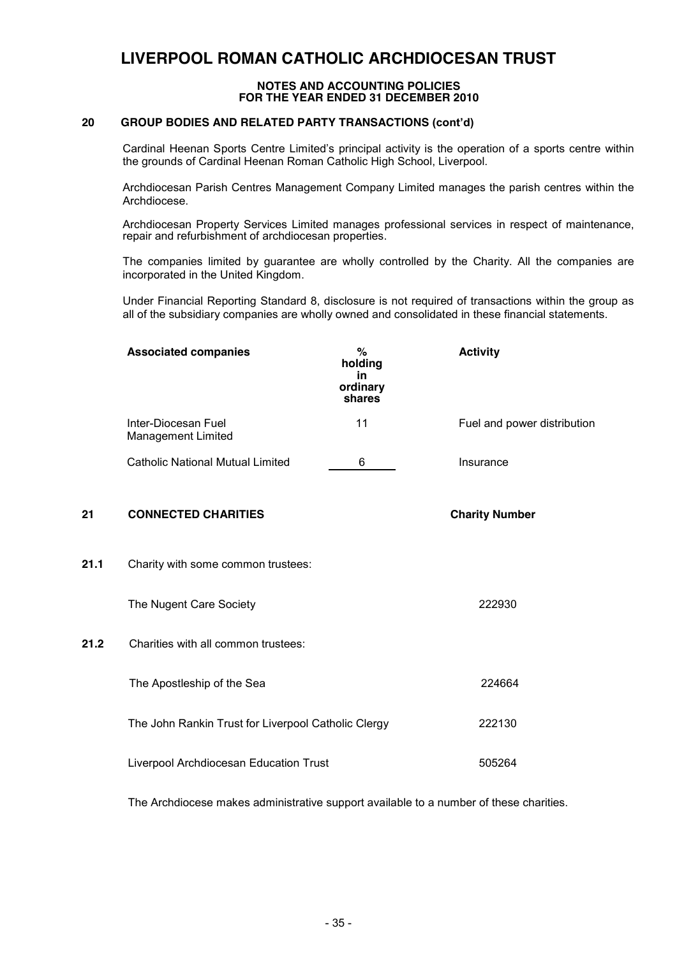#### **NOTES AND ACCOUNTING POLICIES FOR THE YEAR ENDED 31 DECEMBER 2010**

#### **20 GROUP BODIES AND RELATED PARTY TRANSACTIONS (cont'd)**

Cardinal Heenan Sports Centre Limited's principal activity is the operation of a sports centre within the grounds of Cardinal Heenan Roman Catholic High School, Liverpool.

Archdiocesan Parish Centres Management Company Limited manages the parish centres within the Archdiocese.

Archdiocesan Property Services Limited manages professional services in respect of maintenance, repair and refurbishment of archdiocesan properties.

The companies limited by guarantee are wholly controlled by the Charity. All the companies are incorporated in the United Kingdom.

Under Financial Reporting Standard 8, disclosure is not required of transactions within the group as all of the subsidiary companies are wholly owned and consolidated in these financial statements.

|      | <b>Associated companies</b>                         | %<br>holding<br>in.<br>ordinary<br>shares | <b>Activity</b>             |
|------|-----------------------------------------------------|-------------------------------------------|-----------------------------|
|      | Inter-Diocesan Fuel<br>Management Limited           | 11                                        | Fuel and power distribution |
|      | <b>Catholic National Mutual Limited</b>             | 6                                         | Insurance                   |
| 21   | <b>CONNECTED CHARITIES</b>                          |                                           | <b>Charity Number</b>       |
| 21.1 | Charity with some common trustees:                  |                                           |                             |
|      | The Nugent Care Society                             |                                           | 222930                      |
| 21.2 | Charities with all common trustees:                 |                                           |                             |
|      | The Apostleship of the Sea                          |                                           | 224664                      |
|      | The John Rankin Trust for Liverpool Catholic Clergy |                                           | 222130                      |
|      | Liverpool Archdiocesan Education Trust              |                                           | 505264                      |
|      |                                                     |                                           |                             |

The Archdiocese makes administrative support available to a number of these charities.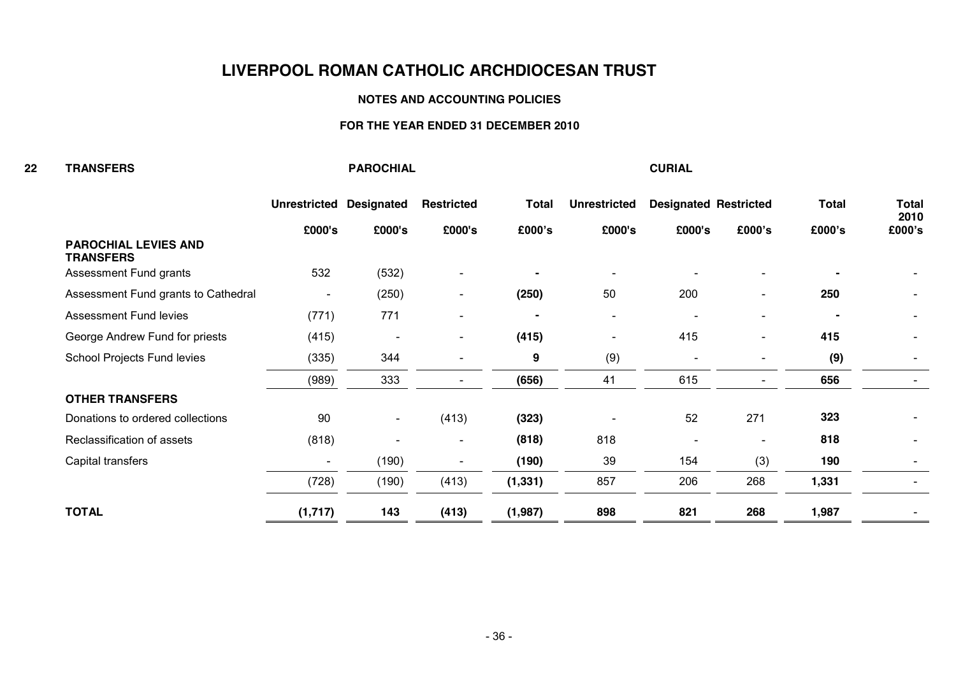#### **NOTES AND ACCOUNTING POLICIES**

#### **FOR THE YEAR ENDED 31 DECEMBER 2010**

| 22 | <b>TRANSFERS</b>                                |                          | <b>PAROCHIAL</b>         |                          |              |                     | <b>CURIAL</b>                |                          |              |                          |
|----|-------------------------------------------------|--------------------------|--------------------------|--------------------------|--------------|---------------------|------------------------------|--------------------------|--------------|--------------------------|
|    |                                                 | <b>Unrestricted</b>      | <b>Designated</b>        | <b>Restricted</b>        | <b>Total</b> | <b>Unrestricted</b> | <b>Designated Restricted</b> |                          | <b>Total</b> | <b>Total</b>             |
|    |                                                 | £000's                   | £000's                   | £000's                   | £000's       | £000's              | £000's                       | £000's                   | £000's       | 2010<br>£000's           |
|    | <b>PAROCHIAL LEVIES AND</b><br><b>TRANSFERS</b> |                          |                          |                          |              |                     |                              |                          |              |                          |
|    | Assessment Fund grants                          | 532                      | (532)                    | $\blacksquare$           |              |                     |                              | $\blacksquare$           |              |                          |
|    | Assessment Fund grants to Cathedral             | ٠                        | (250)                    | $\overline{\phantom{a}}$ | (250)        | 50                  | 200                          | $\overline{\phantom{a}}$ | 250          | $\overline{\phantom{0}}$ |
|    | <b>Assessment Fund levies</b>                   | (771)                    | 771                      | $\blacksquare$           |              |                     |                              | ٠                        |              | $\overline{\phantom{a}}$ |
|    | George Andrew Fund for priests                  | (415)                    |                          | $\blacksquare$           | (415)        |                     | 415                          | $\overline{\phantom{a}}$ | 415          | $\overline{\phantom{a}}$ |
|    | School Projects Fund levies                     | (335)                    | 344                      | $\blacksquare$           | 9            | (9)                 | $\blacksquare$               | $\overline{\phantom{a}}$ | (9)          |                          |
|    |                                                 | (989)                    | 333                      | $\overline{\phantom{0}}$ | (656)        | 41                  | 615                          | $\blacksquare$           | 656          |                          |
|    | <b>OTHER TRANSFERS</b>                          |                          |                          |                          |              |                     |                              |                          |              |                          |
|    | Donations to ordered collections                | 90                       | $\overline{\phantom{a}}$ | (413)                    | (323)        |                     | 52                           | 271                      | 323          |                          |
|    | Reclassification of assets                      | (818)                    |                          | $\overline{\phantom{a}}$ | (818)        | 818                 |                              | $\blacksquare$           | 818          |                          |
|    | Capital transfers                               | $\overline{\phantom{a}}$ | (190)                    |                          | (190)        | 39                  | 154                          | (3)                      | 190          |                          |
|    |                                                 | (728)                    | (190)                    | (413)                    | (1, 331)     | 857                 | 206                          | 268                      | 1,331        |                          |
|    | <b>TOTAL</b>                                    | (1,717)                  | 143                      | (413)                    | (1,987)      | 898                 | 821                          | 268                      | 1,987        |                          |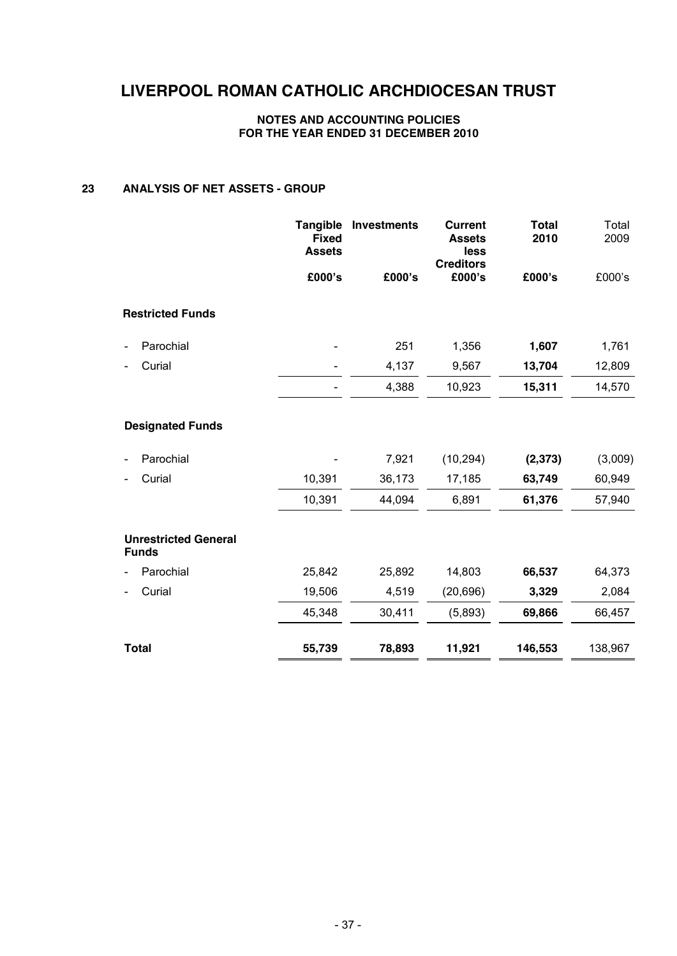#### **NOTES AND ACCOUNTING POLICIES FOR THE YEAR ENDED 31 DECEMBER 2010**

#### **23 ANALYSIS OF NET ASSETS - GROUP**

|                                             | <b>Tangible</b><br><b>Fixed</b><br><b>Assets</b> | <b>Investments</b> | <b>Current</b><br><b>Assets</b><br>less<br><b>Creditors</b> | <b>Total</b><br>2010 | Total<br>2009 |
|---------------------------------------------|--------------------------------------------------|--------------------|-------------------------------------------------------------|----------------------|---------------|
|                                             | £000's                                           | £000's             | £000's                                                      | £000's               | £000's        |
| <b>Restricted Funds</b>                     |                                                  |                    |                                                             |                      |               |
| Parochial                                   |                                                  | 251                | 1,356                                                       | 1,607                | 1,761         |
| Curial                                      |                                                  | 4,137              | 9,567                                                       | 13,704               | 12,809        |
|                                             |                                                  | 4,388              | 10,923                                                      | 15,311               | 14,570        |
| <b>Designated Funds</b>                     |                                                  |                    |                                                             |                      |               |
| Parochial                                   |                                                  | 7,921              | (10, 294)                                                   | (2, 373)             | (3,009)       |
| Curial                                      | 10,391                                           | 36,173             | 17,185                                                      | 63,749               | 60,949        |
|                                             | 10,391                                           | 44,094             | 6,891                                                       | 61,376               | 57,940        |
| <b>Unrestricted General</b><br><b>Funds</b> |                                                  |                    |                                                             |                      |               |
| Parochial                                   | 25,842                                           | 25,892             | 14,803                                                      | 66,537               | 64,373        |
| Curial                                      | 19,506                                           | 4,519              | (20, 696)                                                   | 3,329                | 2,084         |
|                                             | 45,348                                           | 30,411             | (5,893)                                                     | 69,866               | 66,457        |
| <b>Total</b>                                | 55,739                                           | 78,893             | 11,921                                                      | 146,553              | 138,967       |